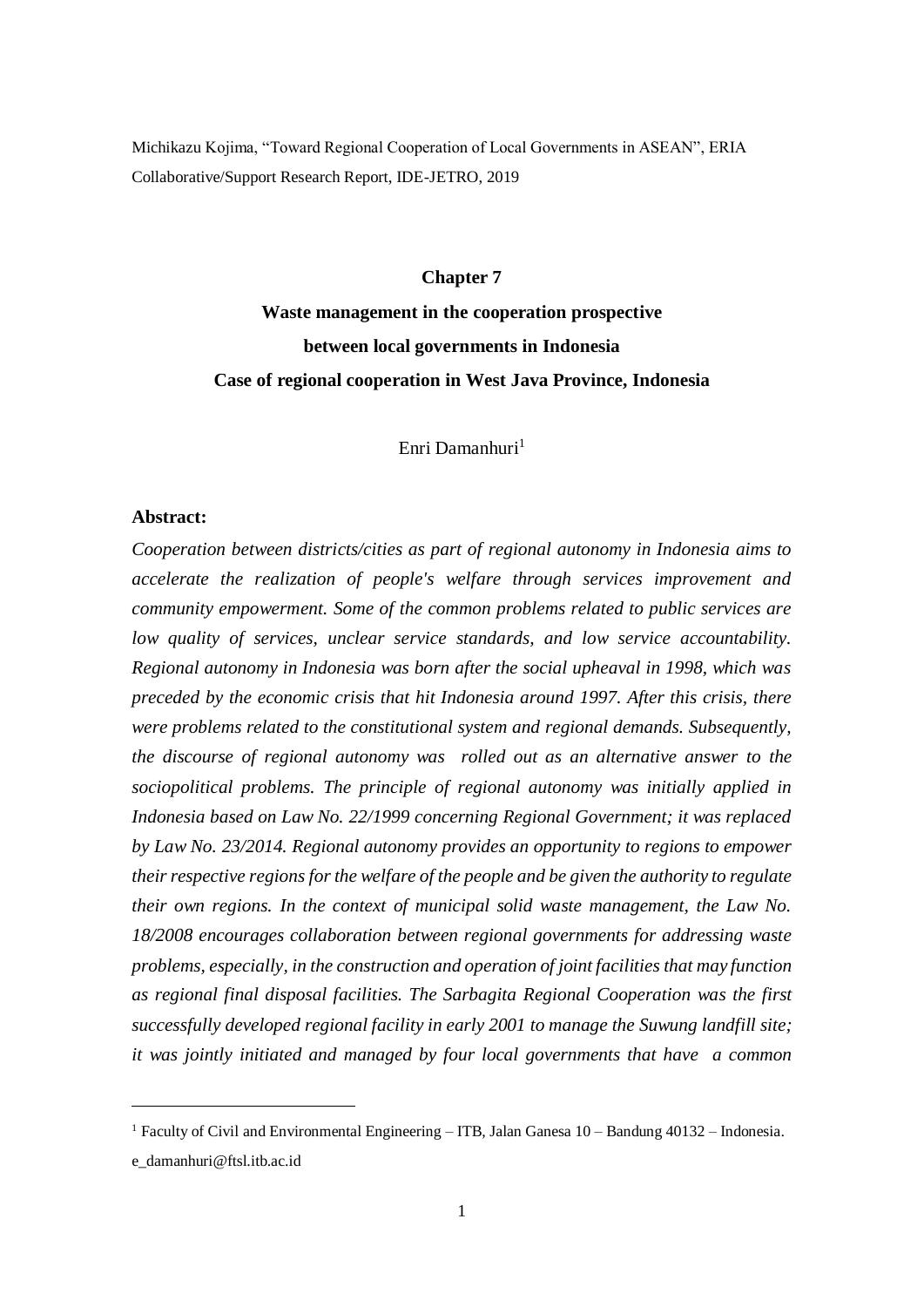Michikazu Kojima, "Toward Regional Cooperation of Local Governments in ASEAN", ERIA Collaborative/Support Research Report, IDE-JETRO, 2019

#### **Chapter 7**

# **Waste management in the cooperation prospective between local governments in Indonesia Case of regional cooperation in West Java Province, Indonesia**

Enri Damanhuri<sup>1</sup>

# **Abstract:**

*Cooperation between districts/cities as part of regional autonomy in Indonesia aims to accelerate the realization of people's welfare through services improvement and community empowerment. Some of the common problems related to public services are low quality of services, unclear service standards, and low service accountability. Regional autonomy in Indonesia was born after the social upheaval in 1998, which was preceded by the economic crisis that hit Indonesia around 1997. After this crisis, there were problems related to the constitutional system and regional demands. Subsequently, the discourse of regional autonomy was rolled out as an alternative answer to the sociopolitical problems. The principle of regional autonomy was initially applied in Indonesia based on Law No. 22/1999 concerning Regional Government; it was replaced by Law No. 23/2014. Regional autonomy provides an opportunity to regions to empower their respective regions for the welfare of the people and be given the authority to regulate their own regions. In the context of municipal solid waste management, the Law No. 18/2008 encourages collaboration between regional governments for addressing waste problems, especially, in the construction and operation of joint facilities that may function as regional final disposal facilities. The Sarbagita Regional Cooperation was the first successfully developed regional facility in early 2001 to manage the Suwung landfill site; it was jointly initiated and managed by four local governments that have a common* 

 $\overline{a}$ 

<sup>&</sup>lt;sup>1</sup> Faculty of Civil and Environmental Engineering – ITB, Jalan Ganesa  $10 -$ Bandung 40132 – Indonesia.

e\_damanhuri@ftsl.itb.ac.id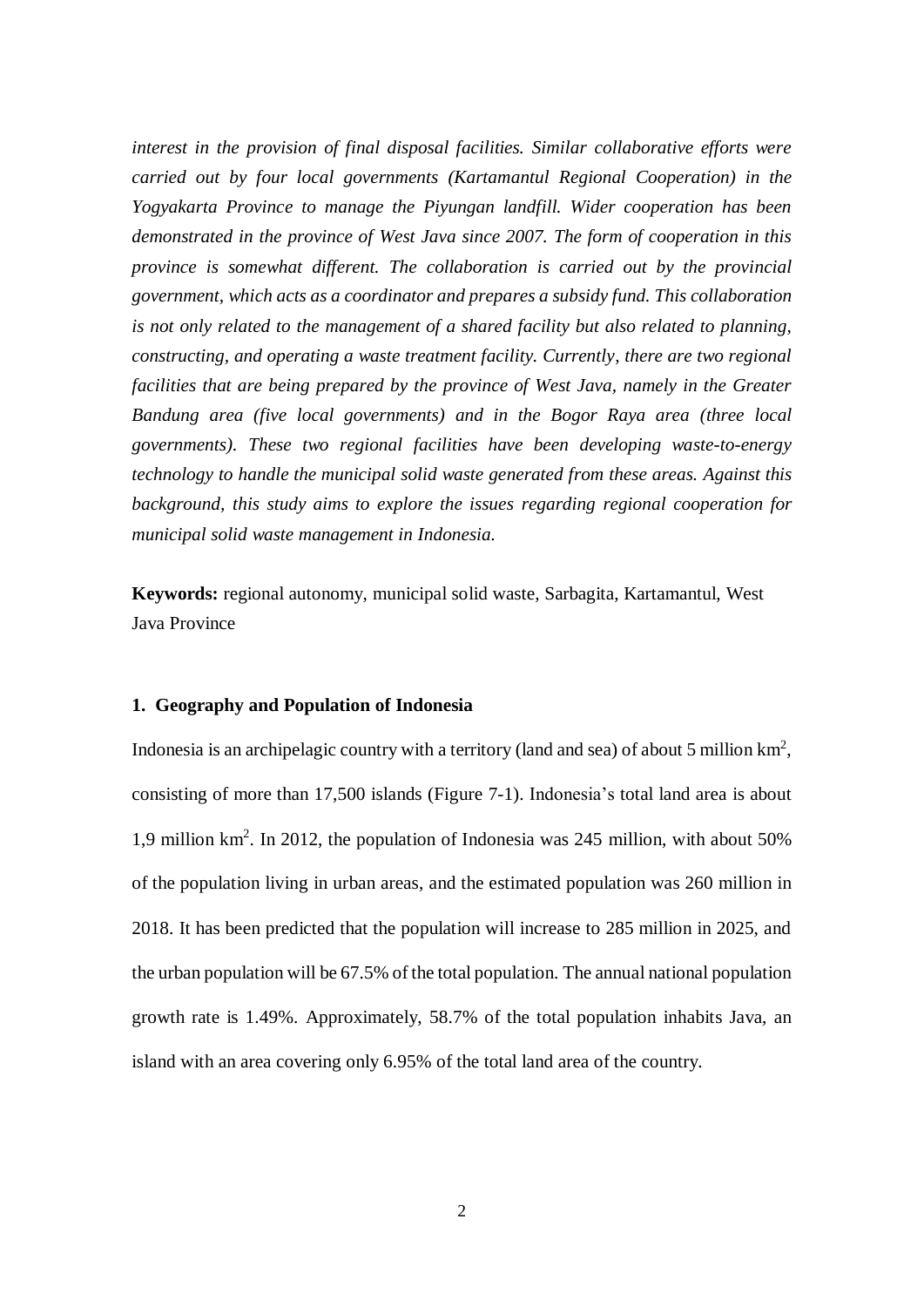*interest in the provision of final disposal facilities. Similar collaborative efforts were carried out by four local governments (Kartamantul Regional Cooperation) in the Yogyakarta Province to manage the Piyungan landfill. Wider cooperation has been demonstrated in the province of West Java since 2007. The form of cooperation in this province is somewhat different. The collaboration is carried out by the provincial government, which acts as a coordinator and prepares a subsidy fund. This collaboration is not only related to the management of a shared facility but also related to planning, constructing, and operating a waste treatment facility. Currently, there are two regional facilities that are being prepared by the province of West Java, namely in the Greater Bandung area (five local governments) and in the Bogor Raya area (three local governments). These two regional facilities have been developing waste-to-energy technology to handle the municipal solid waste generated from these areas. Against this background, this study aims to explore the issues regarding regional cooperation for municipal solid waste management in Indonesia.*

**Keywords:** regional autonomy, municipal solid waste, Sarbagita, Kartamantul, West Java Province

#### **1. Geography and Population of Indonesia**

Indonesia is an archipelagic country with a territory (land and sea) of about 5 million km<sup>2</sup>, consisting of more than 17,500 islands (Figure 7-1). Indonesia's total land area is about 1,9 million km<sup>2</sup> . In 2012, the population of Indonesia was 245 million, with about 50% of the population living in urban areas, and the estimated population was 260 million in 2018. It has been predicted that the population will increase to 285 million in 2025, and the urban population will be 67.5% of the total population*.* The annual national population growth rate is 1.49%. Approximately, 58.7% of the total population inhabits Java, an island with an area covering only 6.95% of the total land area of the country.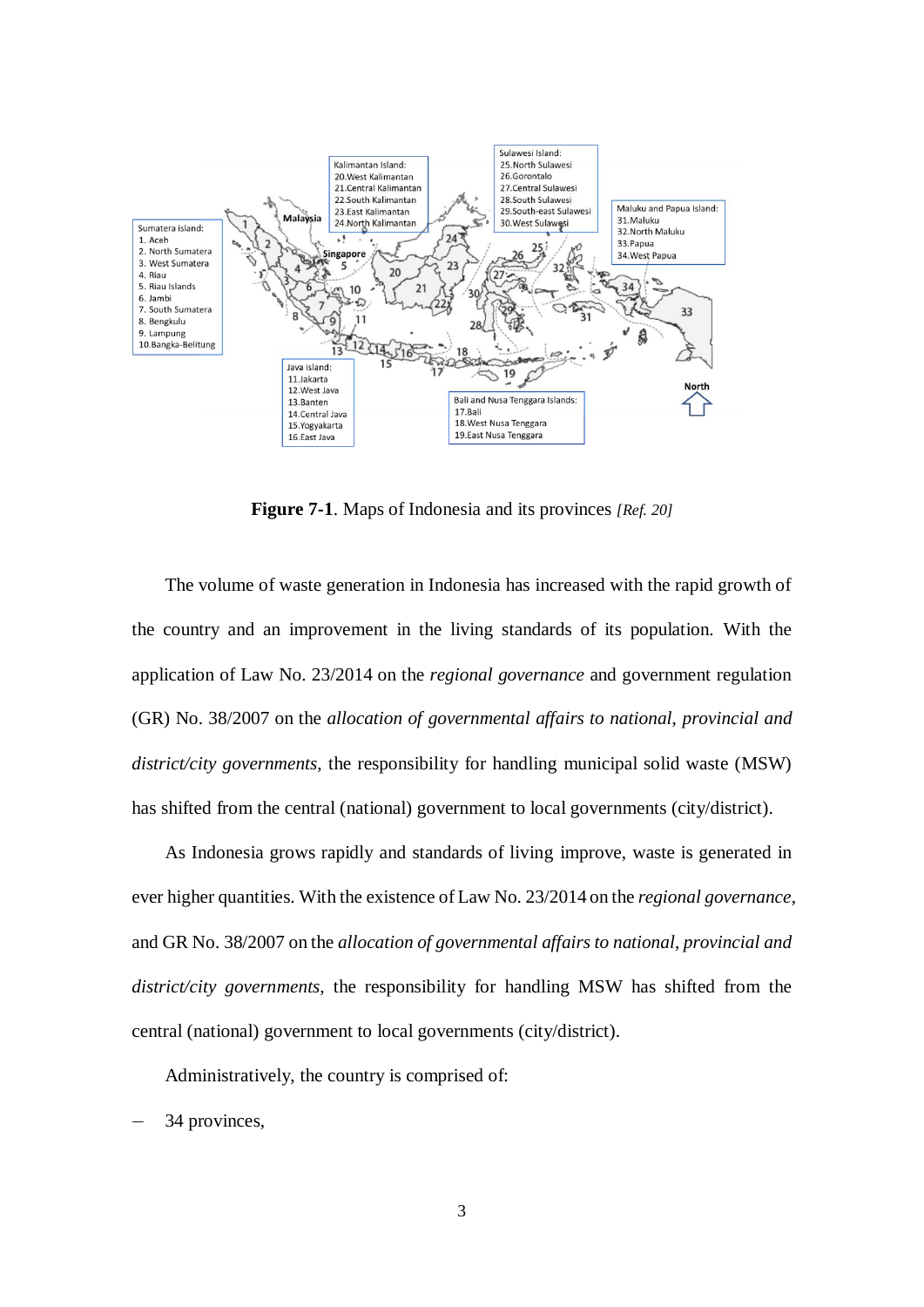

**Figure 7-1**. Maps of Indonesia and its provinces *[Ref. 20]*

The volume of waste generation in Indonesia has increased with the rapid growth of the country and an improvement in the living standards of its population. With the application of Law No. 23/2014 on the *regional governance* and government regulation (GR) No. 38/2007 on the *allocation of governmental affairs to national*, *provincial and district/city governments*, the responsibility for handling municipal solid waste (MSW) has shifted from the central (national) government to local governments (city/district).

As Indonesia grows rapidly and standards of living improve, waste is generated in ever higher quantities. With the existence of Law No. 23/2014 on the *regional governance*, and GR No. 38/2007 on the *allocation of governmental affairs to national*, *provincial and district/city governments*, the responsibility for handling MSW has shifted from the central (national) government to local governments (city/district).

Administratively, the country is comprised of:

34 provinces,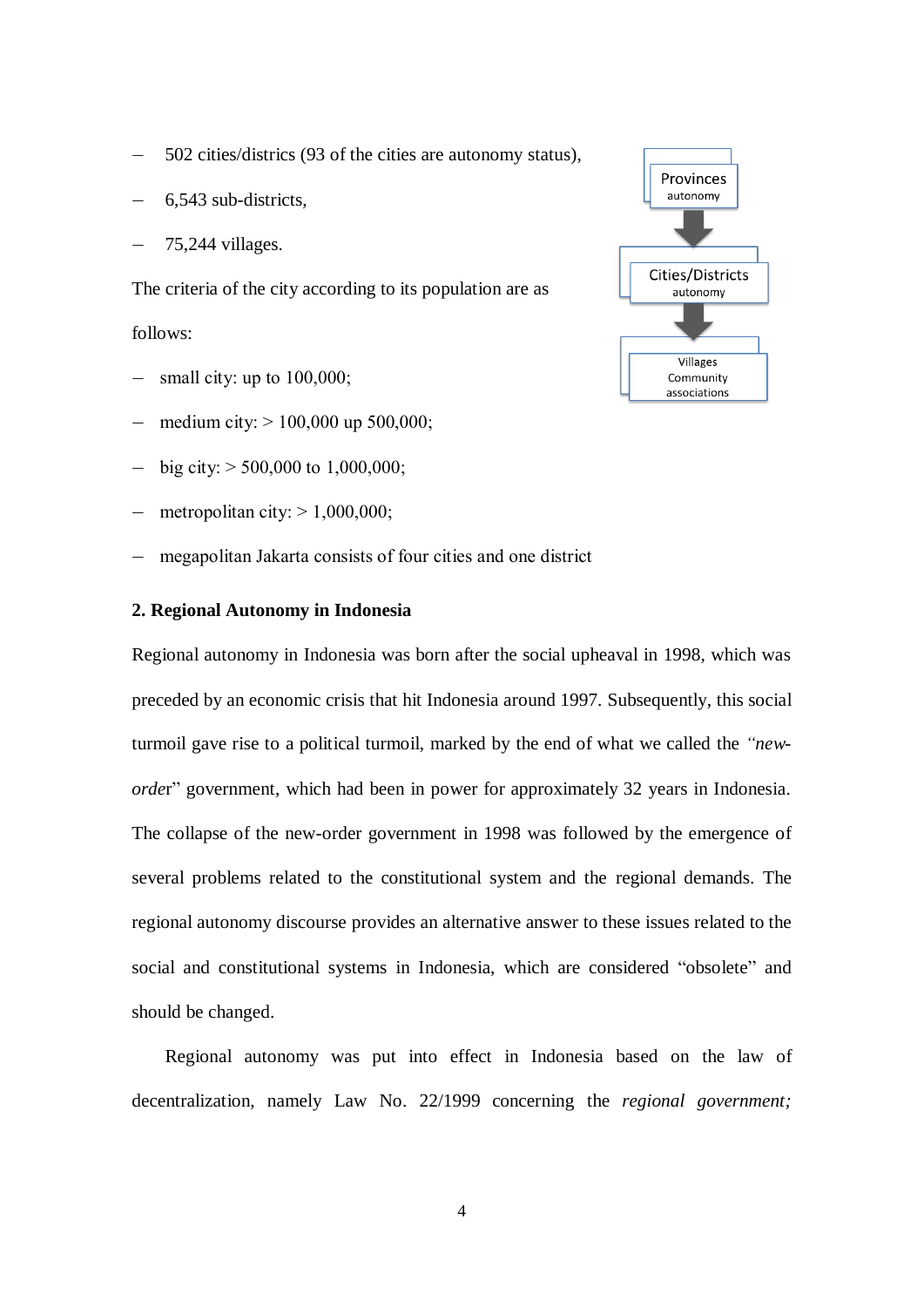- 502 cities/districs (93 of the cities are autonomy status),
- 6,543 sub-districts,
- 75,244 villages.

The criteria of the city according to its population are as follows:

- small city: up to  $100,000$ ;
- medium city: > 100,000 up 500,000;
- big city:  $> 500,000$  to 1,000,000;
- metropolitan city:  $> 1,000,000$ ;
- megapolitan Jakarta consists of four cities and one district

# **2. Regional Autonomy in Indonesia**

Regional autonomy in Indonesia was born after the social upheaval in 1998, which was preceded by an economic crisis that hit Indonesia around 1997. Subsequently, this social turmoil gave rise to a political turmoil, marked by the end of what we called the *"neworde*r" government, which had been in power for approximately 32 years in Indonesia. The collapse of the new-order government in 1998 was followed by the emergence of several problems related to the constitutional system and the regional demands. The regional autonomy discourse provides an alternative answer to these issues related to the social and constitutional systems in Indonesia, which are considered "obsolete" and should be changed.

Regional autonomy was put into effect in Indonesia based on the law of decentralization, namely Law No. 22/1999 concerning the *regional government;* 

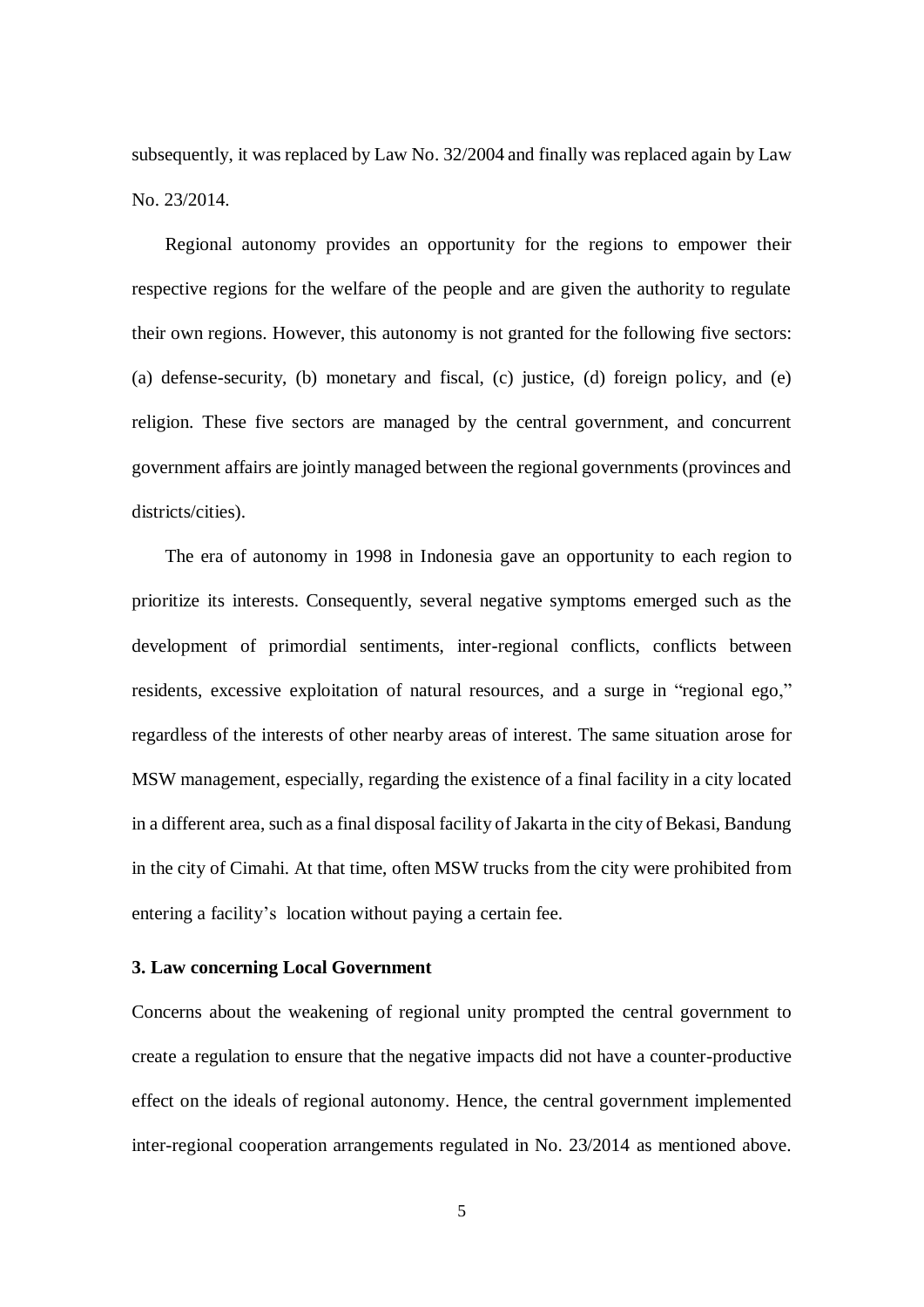subsequently, it was replaced by Law No. 32/2004 and finally was replaced again by Law No. 23/2014.

Regional autonomy provides an opportunity for the regions to empower their respective regions for the welfare of the people and are given the authority to regulate their own regions. However, this autonomy is not granted for the following five sectors: (a) defense-security, (b) monetary and fiscal, (c) justice, (d) foreign policy, and (e) religion. These five sectors are managed by the central government, and concurrent government affairs are jointly managed between the regional governments (provinces and districts/cities).

The era of autonomy in 1998 in Indonesia gave an opportunity to each region to prioritize its interests. Consequently, several negative symptoms emerged such as the development of primordial sentiments, inter-regional conflicts, conflicts between residents, excessive exploitation of natural resources, and a surge in "regional ego," regardless of the interests of other nearby areas of interest. The same situation arose for MSW management, especially, regarding the existence of a final facility in a city located in a different area, such as a final disposal facility of Jakarta in the city of Bekasi, Bandung in the city of Cimahi. At that time, often MSW trucks from the city were prohibited from entering a facility's location without paying a certain fee.

# **3. Law concerning Local Government**

Concerns about the weakening of regional unity prompted the central government to create a regulation to ensure that the negative impacts did not have a counter-productive effect on the ideals of regional autonomy. Hence, the central government implemented inter-regional cooperation arrangements regulated in No. 23/2014 as mentioned above.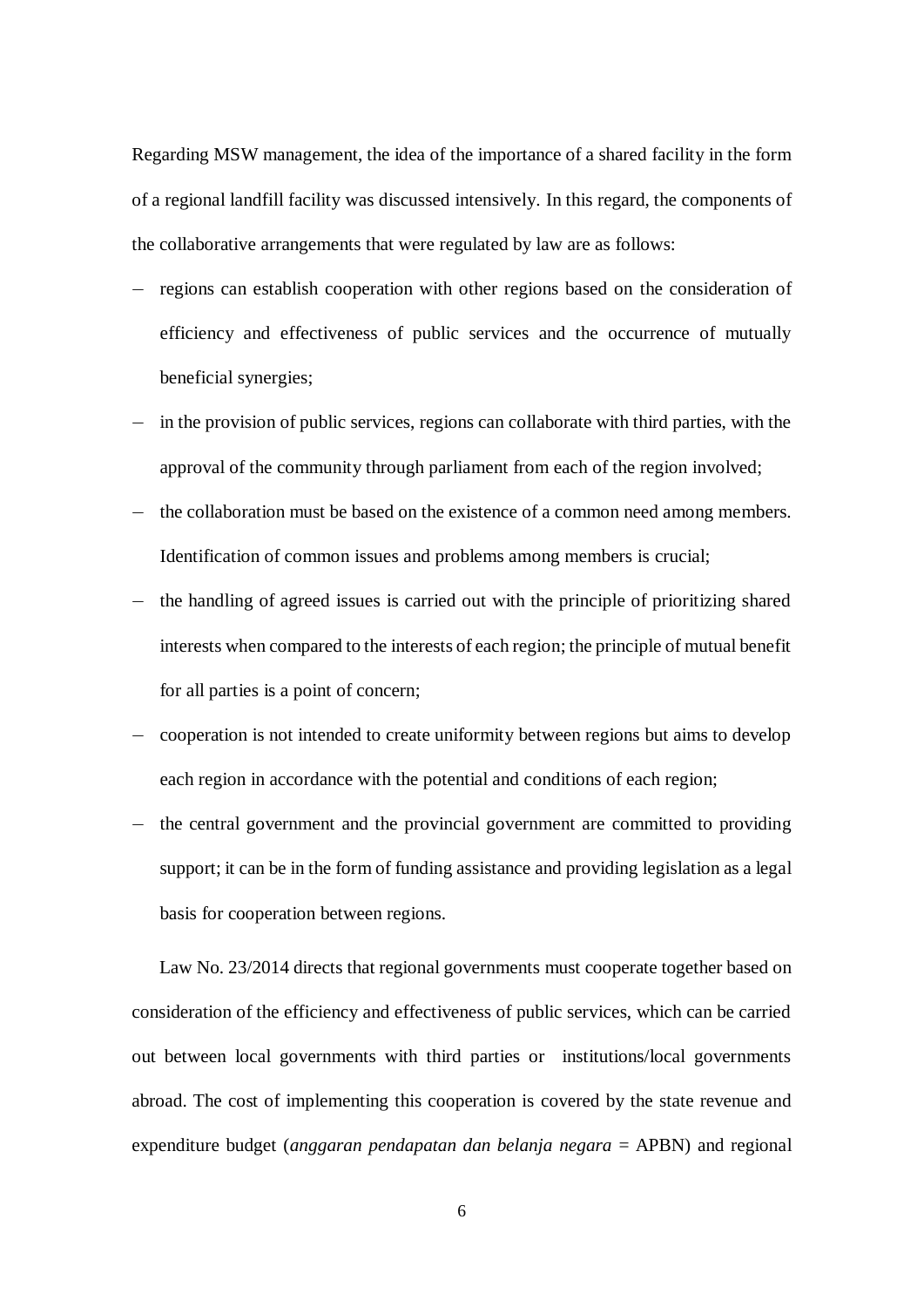Regarding MSW management, the idea of the importance of a shared facility in the form of a regional landfill facility was discussed intensively. In this regard, the components of the collaborative arrangements that were regulated by law are as follows:

- regions can establish cooperation with other regions based on the consideration of efficiency and effectiveness of public services and the occurrence of mutually beneficial synergies;
- in the provision of public services, regions can collaborate with third parties, with the approval of the community through parliament from each of the region involved;
- the collaboration must be based on the existence of a common need among members. Identification of common issues and problems among members is crucial;
- the handling of agreed issues is carried out with the principle of prioritizing shared interests when compared to the interests of each region; the principle of mutual benefit for all parties is a point of concern;
- cooperation is not intended to create uniformity between regions but aims to develop each region in accordance with the potential and conditions of each region;
- the central government and the provincial government are committed to providing support; it can be in the form of funding assistance and providing legislation as a legal basis for cooperation between regions.

Law No. 23/2014 directs that regional governments must cooperate together based on consideration of the efficiency and effectiveness of public services, which can be carried out between local governments with third parties or institutions/local governments abroad. The cost of implementing this cooperation is covered by the state revenue and expenditure budget (*anggaran pendapatan dan belanja negara* = APBN) and regional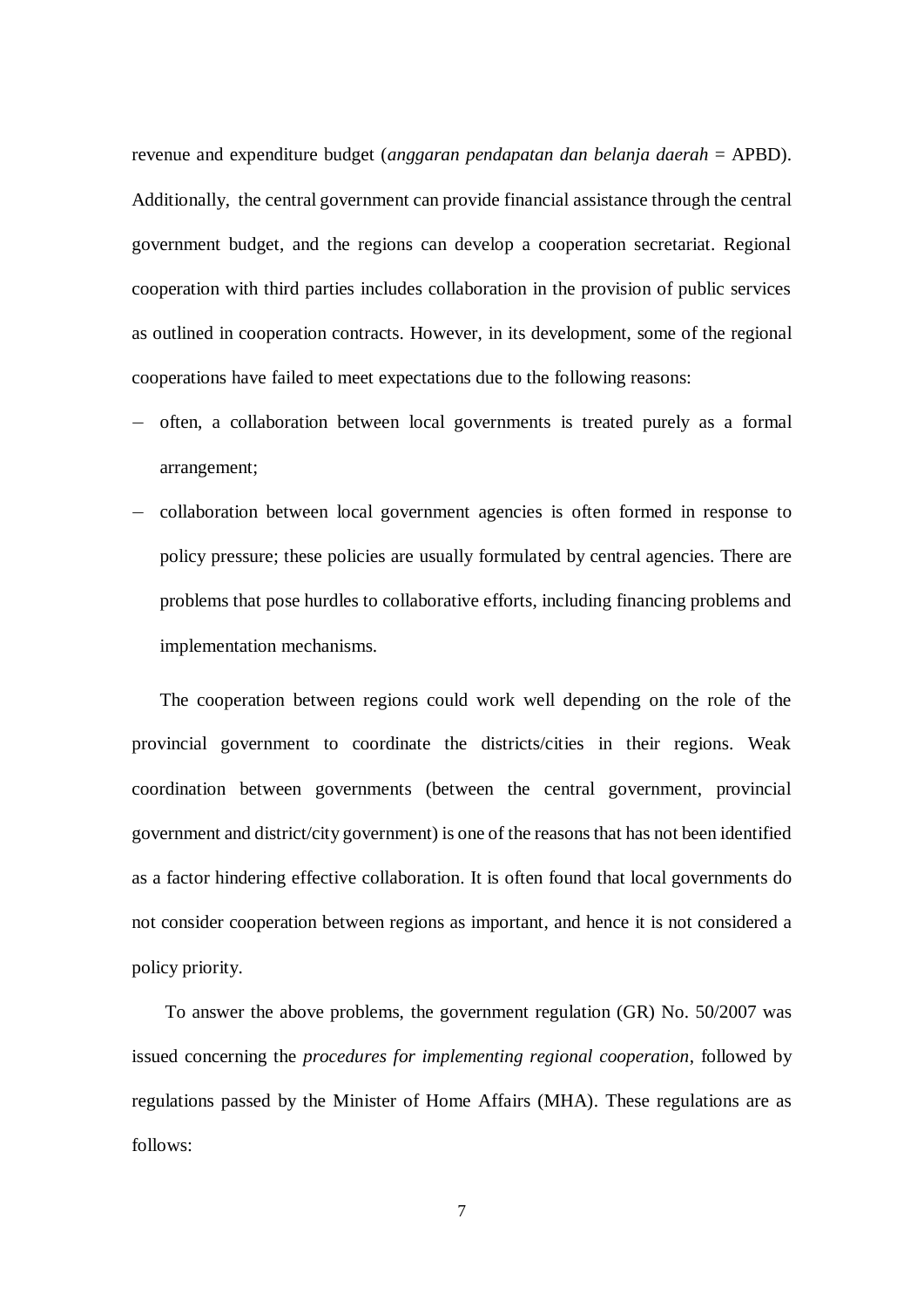revenue and expenditure budget (*anggaran pendapatan dan belanja daerah* = APBD). Additionally, the central government can provide financial assistance through the central government budget, and the regions can develop a cooperation secretariat. Regional cooperation with third parties includes collaboration in the provision of public services as outlined in cooperation contracts. However, in its development, some of the regional cooperations have failed to meet expectations due to the following reasons:

- often, a collaboration between local governments is treated purely as a formal arrangement;
- collaboration between local government agencies is often formed in response to policy pressure; these policies are usually formulated by central agencies. There are problems that pose hurdles to collaborative efforts, including financing problems and implementation mechanisms.

The cooperation between regions could work well depending on the role of the provincial government to coordinate the districts/cities in their regions. Weak coordination between governments (between the central government, provincial government and district/city government) is one of the reasonsthat has not been identified as a factor hindering effective collaboration. It is often found that local governments do not consider cooperation between regions as important, and hence it is not considered a policy priority.

To answer the above problems, the government regulation (GR) No. 50/2007 was issued concerning the *procedures for implementing regional cooperation*, followed by regulations passed by the Minister of Home Affairs (MHA). These regulations are as follows: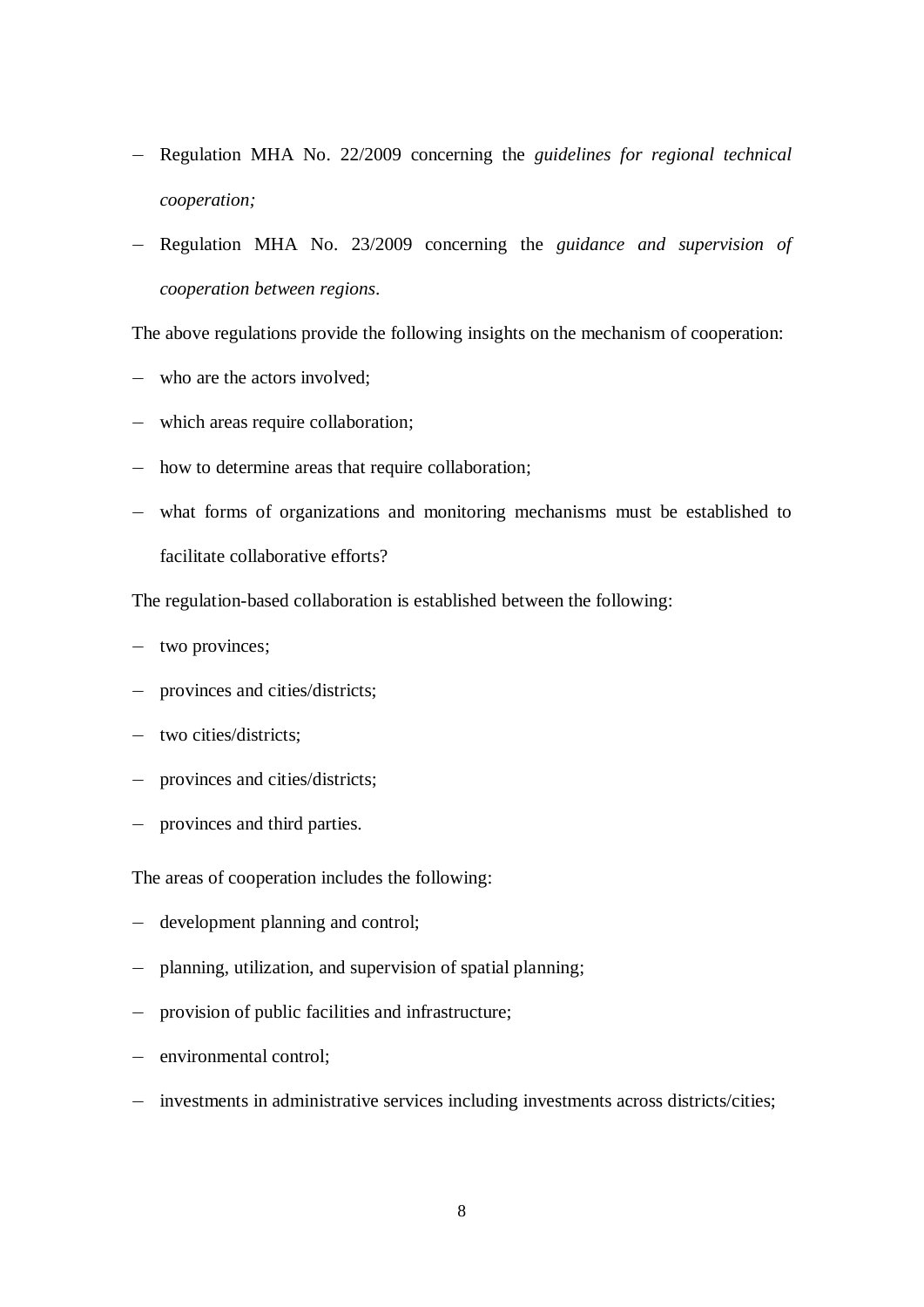- Regulation MHA No. 22/2009 concerning the *guidelines for regional technical cooperation;*
- Regulation MHA No. 23/2009 concerning the *guidance and supervision of cooperation between regions*.

The above regulations provide the following insights on the mechanism of cooperation:

- who are the actors involved;
- which areas require collaboration;
- how to determine areas that require collaboration;
- what forms of organizations and monitoring mechanisms must be established to facilitate collaborative efforts?

The regulation-based collaboration is established between the following:

- two provinces;
- provinces and cities/districts;
- two cities/districts;
- provinces and cities/districts;
- provinces and third parties.

The areas of cooperation includes the following:

- development planning and control;
- planning, utilization, and supervision of spatial planning;
- provision of public facilities and infrastructure;
- environmental control;
- investments in administrative services including investments across districts/cities;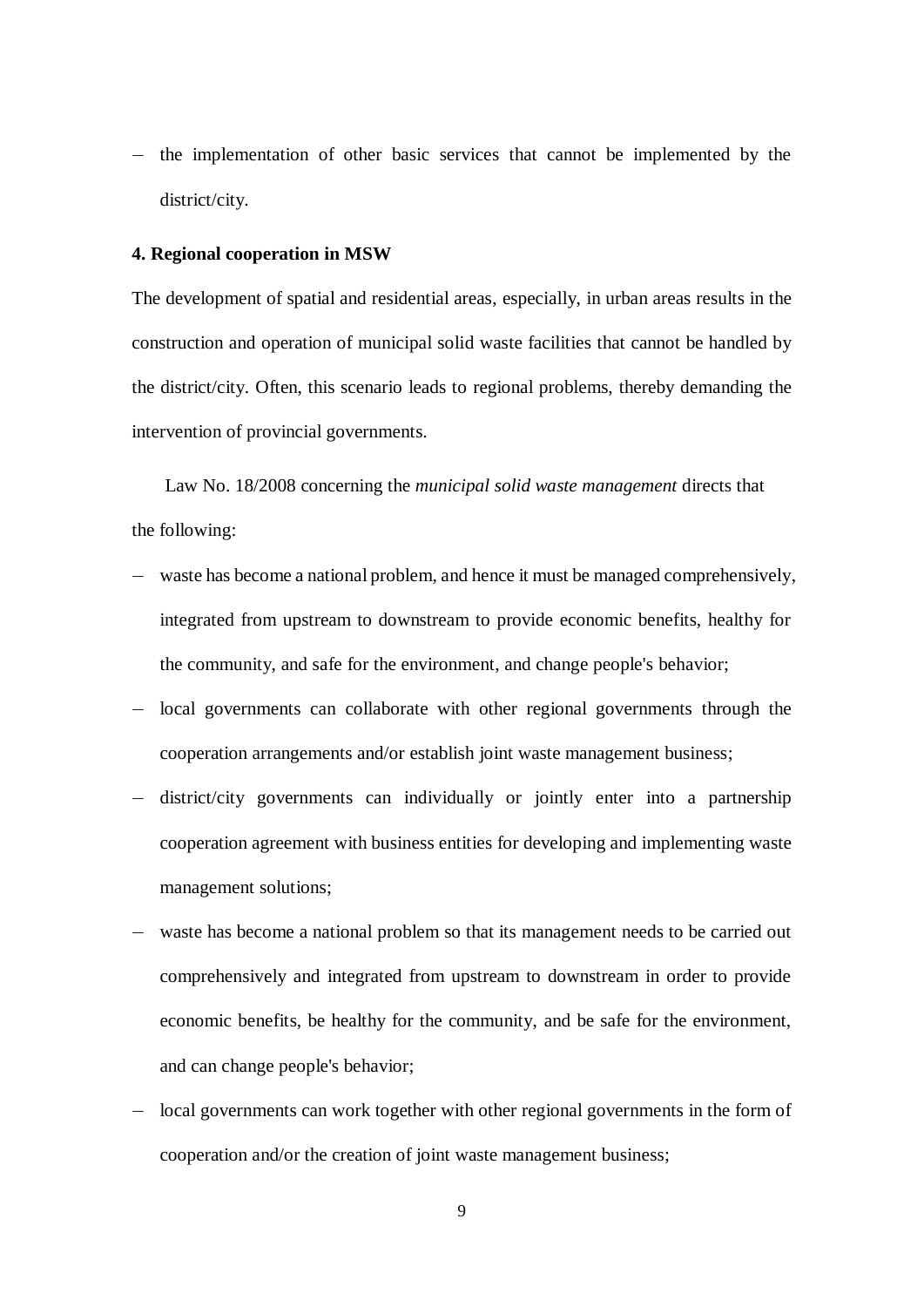— the implementation of other basic services that cannot be implemented by the district/city.

#### **4. Regional cooperation in MSW**

The development of spatial and residential areas, especially, in urban areas results in the construction and operation of municipal solid waste facilities that cannot be handled by the district/city. Often, this scenario leads to regional problems, thereby demanding the intervention of provincial governments.

Law No. 18/2008 concerning the *municipal solid waste management* directs that the following:

- waste has become a national problem, and hence it must be managed comprehensively, integrated from upstream to downstream to provide economic benefits, healthy for the community, and safe for the environment, and change people's behavior;
- local governments can collaborate with other regional governments through the cooperation arrangements and/or establish joint waste management business;
- district/city governments can individually or jointly enter into a partnership cooperation agreement with business entities for developing and implementing waste management solutions;
- waste has become a national problem so that its management needs to be carried out comprehensively and integrated from upstream to downstream in order to provide economic benefits, be healthy for the community, and be safe for the environment, and can change people's behavior;
- local governments can work together with other regional governments in the form of cooperation and/or the creation of joint waste management business;

9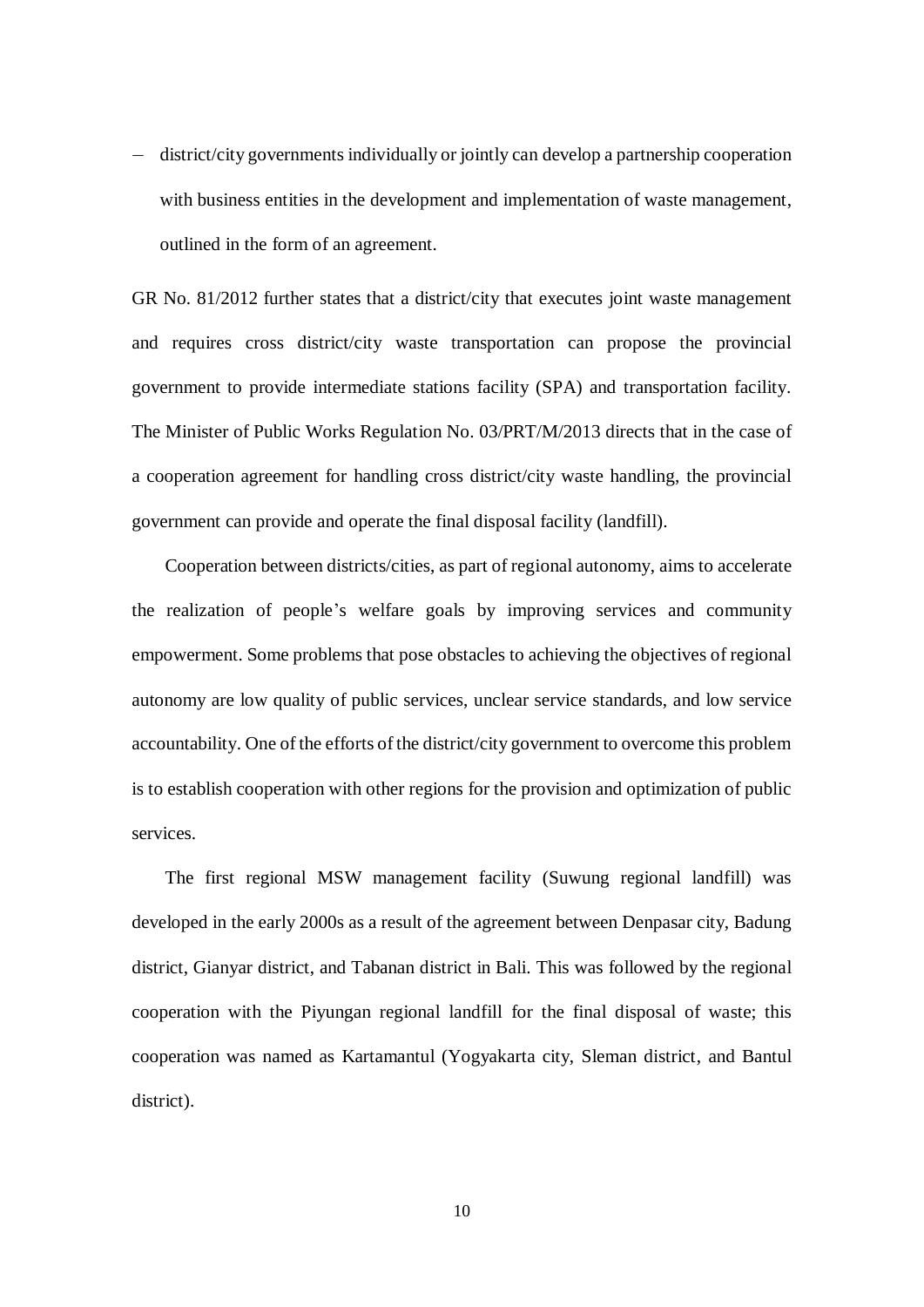— district/city governments individually or jointly can develop a partnership cooperation with business entities in the development and implementation of waste management, outlined in the form of an agreement.

GR No. 81/2012 further states that a district/city that executes joint waste management and requires cross district/city waste transportation can propose the provincial government to provide intermediate stations facility (SPA) and transportation facility. The Minister of Public Works Regulation No. 03/PRT/M/2013 directs that in the case of a cooperation agreement for handling cross district/city waste handling, the provincial government can provide and operate the final disposal facility (landfill).

Cooperation between districts/cities, as part of regional autonomy, aims to accelerate the realization of people's welfare goals by improving services and community empowerment. Some problems that pose obstacles to achieving the objectives of regional autonomy are low quality of public services, unclear service standards, and low service accountability. One of the efforts of the district/city government to overcome this problem is to establish cooperation with other regions for the provision and optimization of public services.

The first regional MSW management facility (Suwung regional landfill) was developed in the early 2000s as a result of the agreement between Denpasar city, Badung district, Gianyar district, and Tabanan district in Bali. This was followed by the regional cooperation with the Piyungan regional landfill for the final disposal of waste; this cooperation was named as Kartamantul (Yogyakarta city, Sleman district, and Bantul district).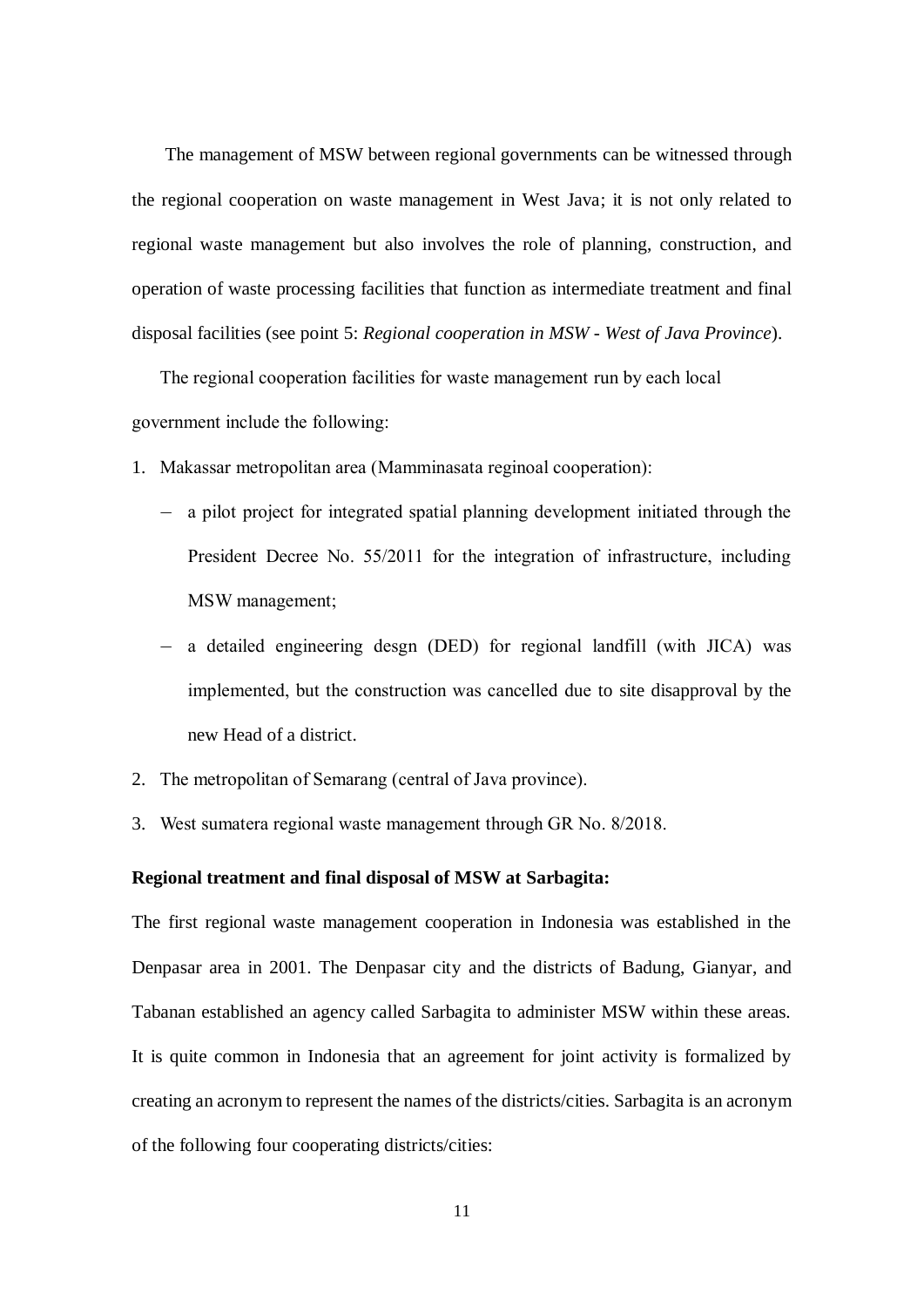The management of MSW between regional governments can be witnessed through the regional cooperation on waste management in West Java; it is not only related to regional waste management but also involves the role of planning, construction, and operation of waste processing facilities that function as intermediate treatment and final disposal facilities (see point 5: *Regional cooperation in MSW - West of Java Province*).

The regional cooperation facilities for waste management run by each local government include the following:

- 1. Makassar metropolitan area (Mamminasata reginoal cooperation):
	- a pilot project for integrated spatial planning development initiated through the President Decree No. 55/2011 for the integration of infrastructure, including MSW management;
	- a detailed engineering desgn (DED) for regional landfill (with JICA) was implemented, but the construction was cancelled due to site disapproval by the new Head of a district.
- 2. The metropolitan of Semarang (central of Java province).
- 3. West sumatera regional waste management through GR No. 8/2018.

# **Regional treatment and final disposal of MSW at Sarbagita:**

The first regional waste management cooperation in Indonesia was established in the Denpasar area in 2001. The Denpasar city and the districts of Badung, Gianyar, and Tabanan established an agency called Sarbagita to administer MSW within these areas. It is quite common in Indonesia that an agreement for joint activity is formalized by creating an acronym to represent the names of the districts/cities. Sarbagita is an acronym of the following four cooperating districts/cities: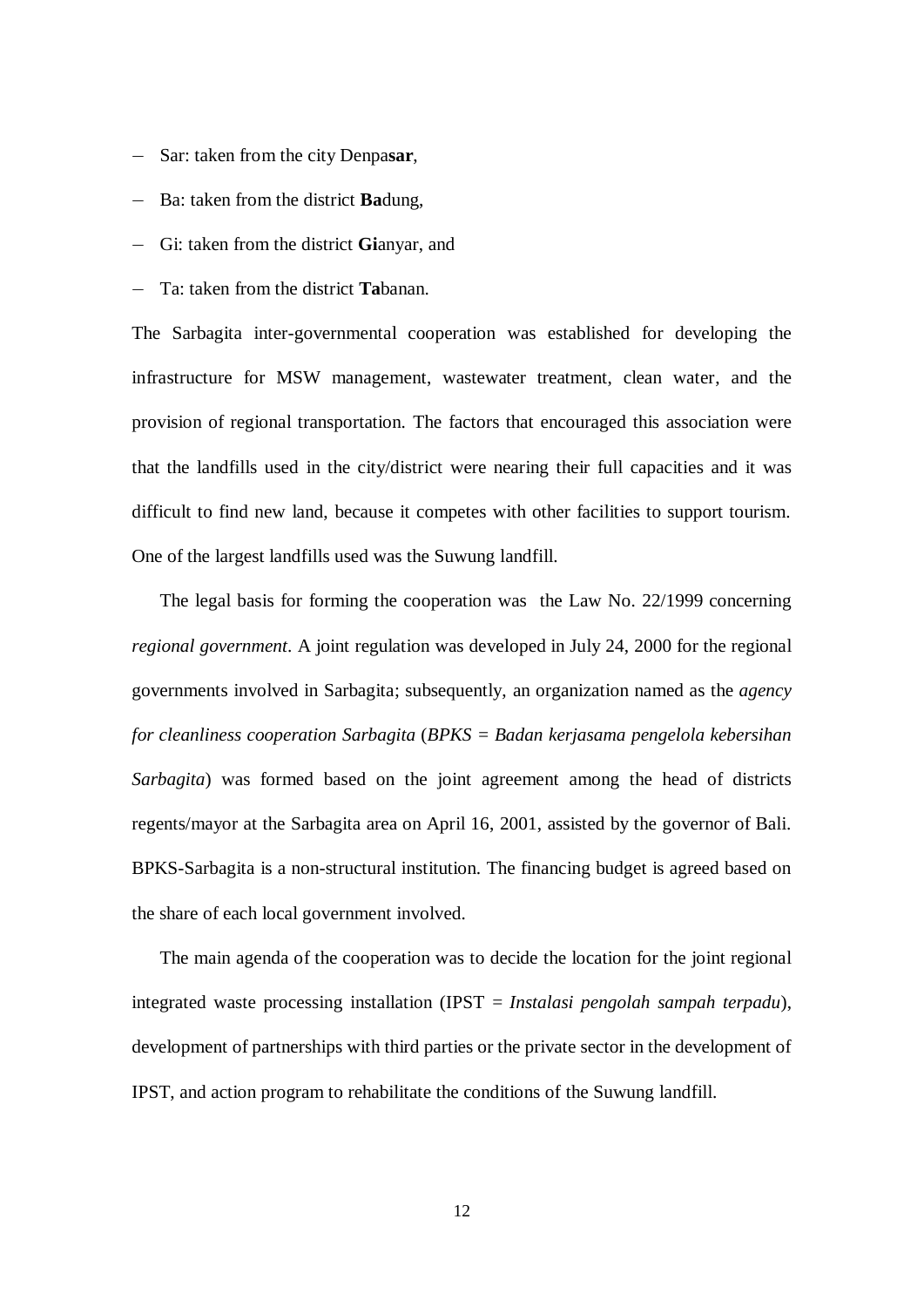- Sar: taken from the city Denpa**sar**,
- Ba: taken from the district **Ba**dung,
- Gi: taken from the district **Gi**anyar, and
- Ta: taken from the district **Ta**banan.

The Sarbagita inter-governmental cooperation was established for developing the infrastructure for MSW management, wastewater treatment, clean water, and the provision of regional transportation. The factors that encouraged this association were that the landfills used in the city/district were nearing their full capacities and it was difficult to find new land, because it competes with other facilities to support tourism. One of the largest landfills used was the Suwung landfill.

The legal basis for forming the cooperation was the Law No. 22/1999 concerning *regional government*. A joint regulation was developed in July 24, 2000 for the regional governments involved in Sarbagita; subsequently, an organization named as the *agency for cleanliness cooperation Sarbagita* (*BPKS = Badan kerjasama pengelola kebersihan Sarbagita*) was formed based on the joint agreement among the head of districts regents/mayor at the Sarbagita area on April 16, 2001, assisted by the governor of Bali. BPKS-Sarbagita is a non-structural institution. The financing budget is agreed based on the share of each local government involved.

The main agenda of the cooperation was to decide the location for the joint regional integrated waste processing installation (IPST = *Instalasi pengolah sampah terpadu*), development of partnerships with third parties or the private sector in the development of IPST, and action program to rehabilitate the conditions of the Suwung landfill.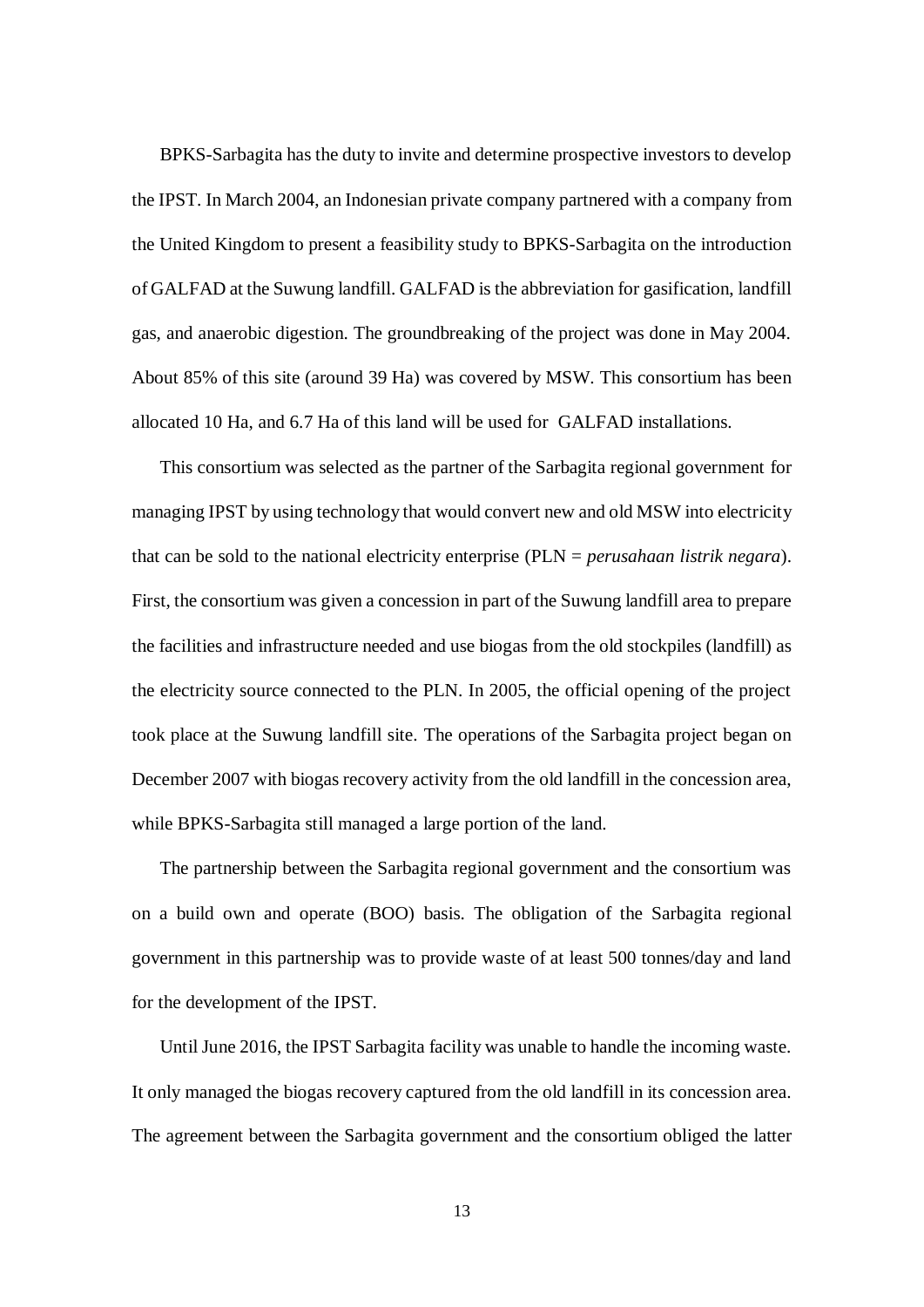BPKS-Sarbagita has the duty to invite and determine prospective investors to develop the IPST. In March 2004, an Indonesian private company partnered with a company from the United Kingdom to present a feasibility study to BPKS-Sarbagita on the introduction of GALFAD at the Suwung landfill. GALFAD is the abbreviation for gasification, landfill gas, and anaerobic digestion. The groundbreaking of the project was done in May 2004. About 85% of this site (around 39 Ha) was covered by MSW. This consortium has been allocated 10 Ha, and 6.7 Ha of this land will be used for GALFAD installations.

This consortium was selected as the partner of the Sarbagita regional government for managing IPST by using technology that would convert new and old MSW into electricity that can be sold to the national electricity enterprise (PLN = *perusahaan listrik negara*). First, the consortium was given a concession in part of the Suwung landfill area to prepare the facilities and infrastructure needed and use biogas from the old stockpiles (landfill) as the electricity source connected to the PLN. In 2005, the official opening of the project took place at the Suwung landfill site. The operations of the Sarbagita project began on December 2007 with biogas recovery activity from the old landfill in the concession area, while BPKS-Sarbagita still managed a large portion of the land.

The partnership between the Sarbagita regional government and the consortium was on a build own and operate (BOO) basis. The obligation of the Sarbagita regional government in this partnership was to provide waste of at least 500 tonnes/day and land for the development of the IPST.

Until June 2016, the IPST Sarbagita facility was unable to handle the incoming waste. It only managed the biogas recovery captured from the old landfill in its concession area. The agreement between the Sarbagita government and the consortium obliged the latter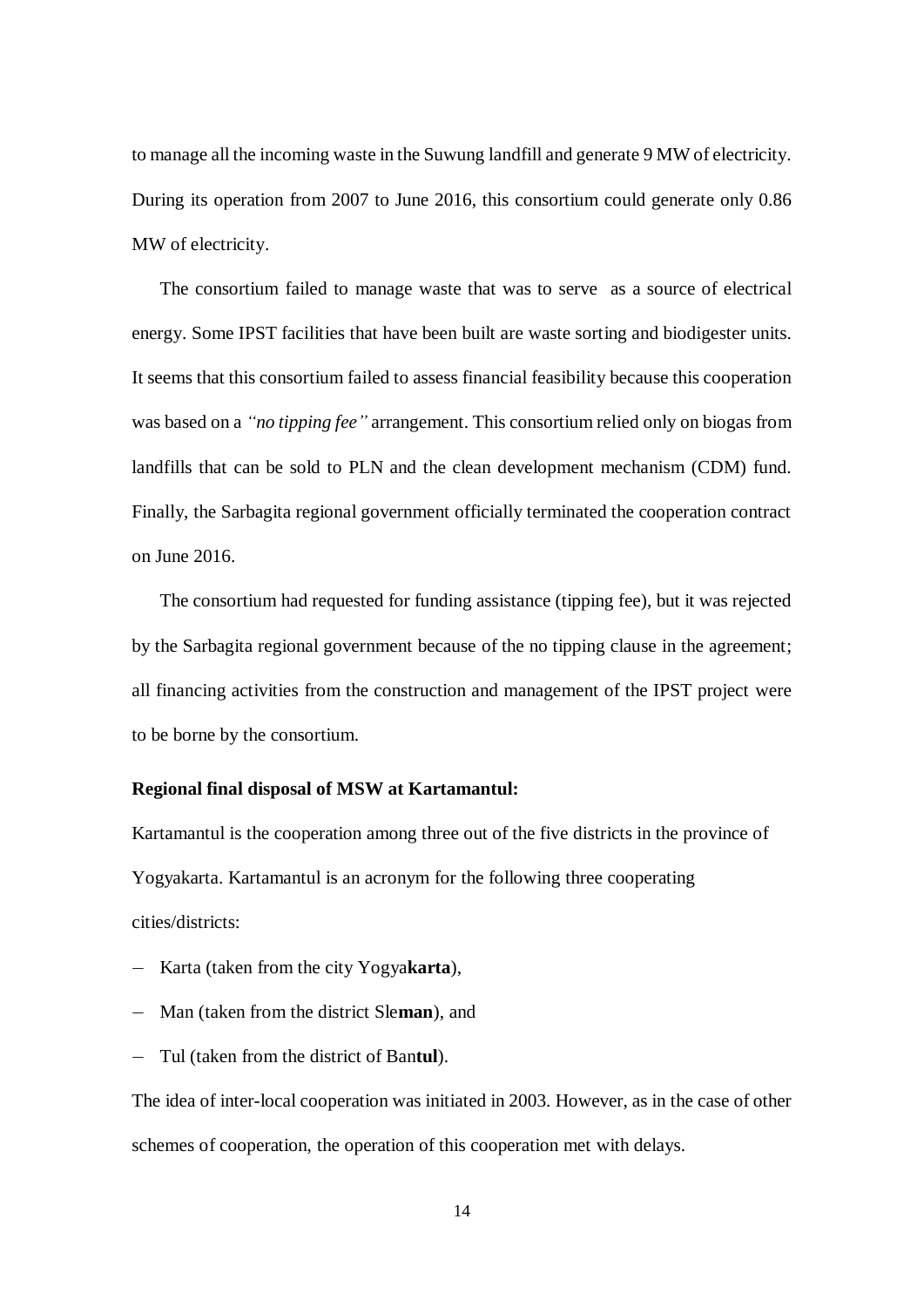to manage all the incoming waste in the Suwung landfill and generate 9 MW of electricity. During its operation from 2007 to June 2016, this consortium could generate only 0.86 MW of electricity.

The consortium failed to manage waste that was to serve as a source of electrical energy. Some IPST facilities that have been built are waste sorting and biodigester units. It seems that this consortium failed to assess financial feasibility because this cooperation was based on a *"no tipping fee"* arrangement. This consortium relied only on biogas from landfills that can be sold to PLN and the clean development mechanism (CDM) fund. Finally, the Sarbagita regional government officially terminated the cooperation contract on June 2016.

The consortium had requested for funding assistance (tipping fee), but it was rejected by the Sarbagita regional government because of the no tipping clause in the agreement; all financing activities from the construction and management of the IPST project were to be borne by the consortium.

# **Regional final disposal of MSW at Kartamantul:**

Kartamantul is the cooperation among three out of the five districts in the province of Yogyakarta. Kartamantul is an acronym for the following three cooperating cities/districts:

- Karta (taken from the city Yogya**karta**),
- Man (taken from the district Sle**man**), and
- Tul (taken from the district of Ban**tul**).

The idea of inter-local cooperation was initiated in 2003. However, as in the case of other schemes of cooperation, the operation of this cooperation met with delays.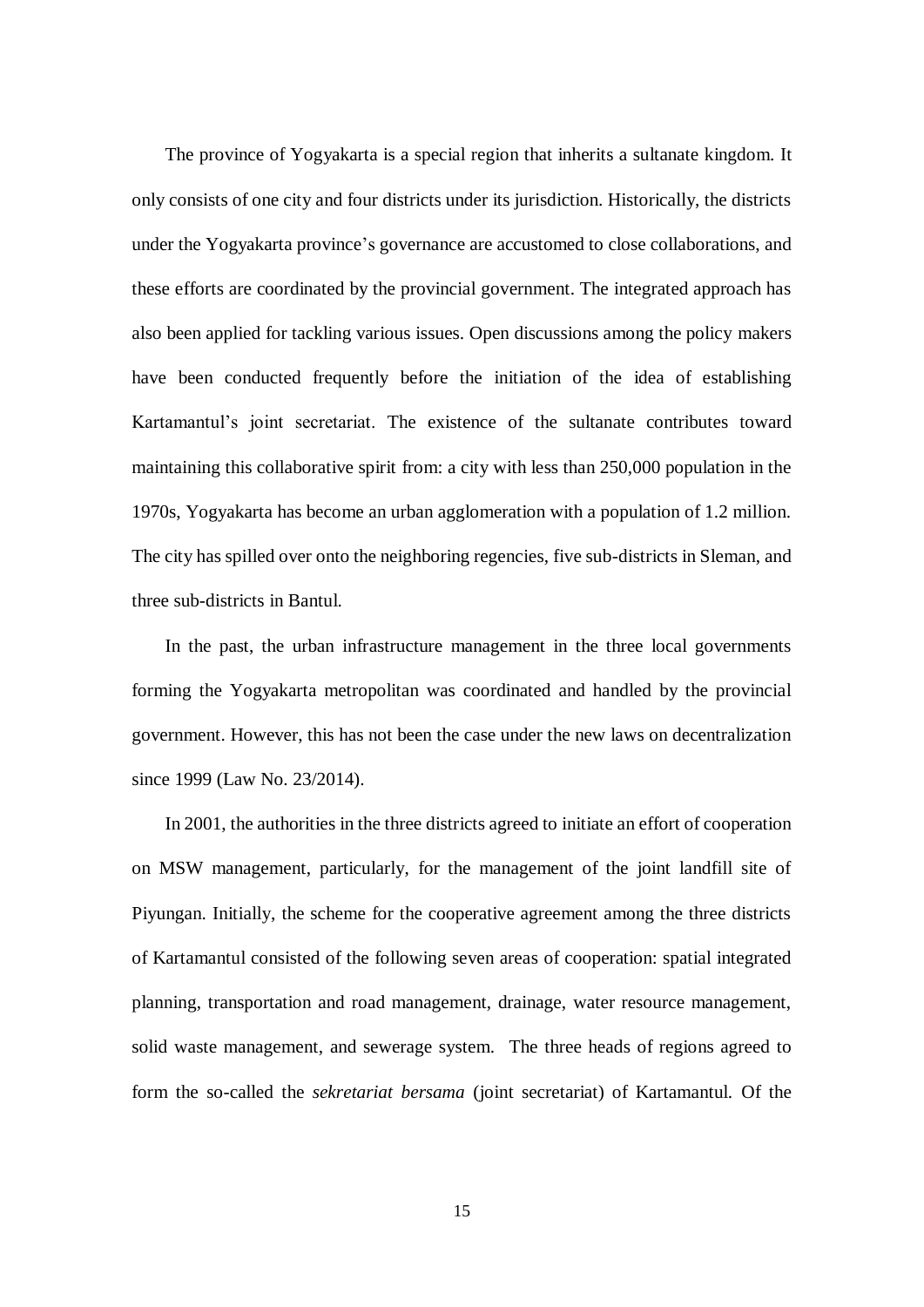The province of Yogyakarta is a special region that inherits a sultanate kingdom. It only consists of one city and four districts under its jurisdiction. Historically, the districts under the Yogyakarta province's governance are accustomed to close collaborations, and these efforts are coordinated by the provincial government. The integrated approach has also been applied for tackling various issues. Open discussions among the policy makers have been conducted frequently before the initiation of the idea of establishing Kartamantul's joint secretariat. The existence of the sultanate contributes toward maintaining this collaborative spirit from: a city with less than 250,000 population in the 1970s, Yogyakarta has become an urban agglomeration with a population of 1.2 million. The city has spilled over onto the neighboring regencies, five sub-districts in Sleman, and three sub-districts in Bantul.

In the past, the urban infrastructure management in the three local governments forming the Yogyakarta metropolitan was coordinated and handled by the provincial government. However, this has not been the case under the new laws on decentralization since 1999 (Law No. 23/2014).

In 2001, the authorities in the three districts agreed to initiate an effort of cooperation on MSW management, particularly, for the management of the joint landfill site of Piyungan. Initially, the scheme for the cooperative agreement among the three districts of Kartamantul consisted of the following seven areas of cooperation: spatial integrated planning, transportation and road management, drainage, water resource management, solid waste management, and sewerage system. The three heads of regions agreed to form the so-called the *sekretariat bersama* (joint secretariat) of Kartamantul. Of the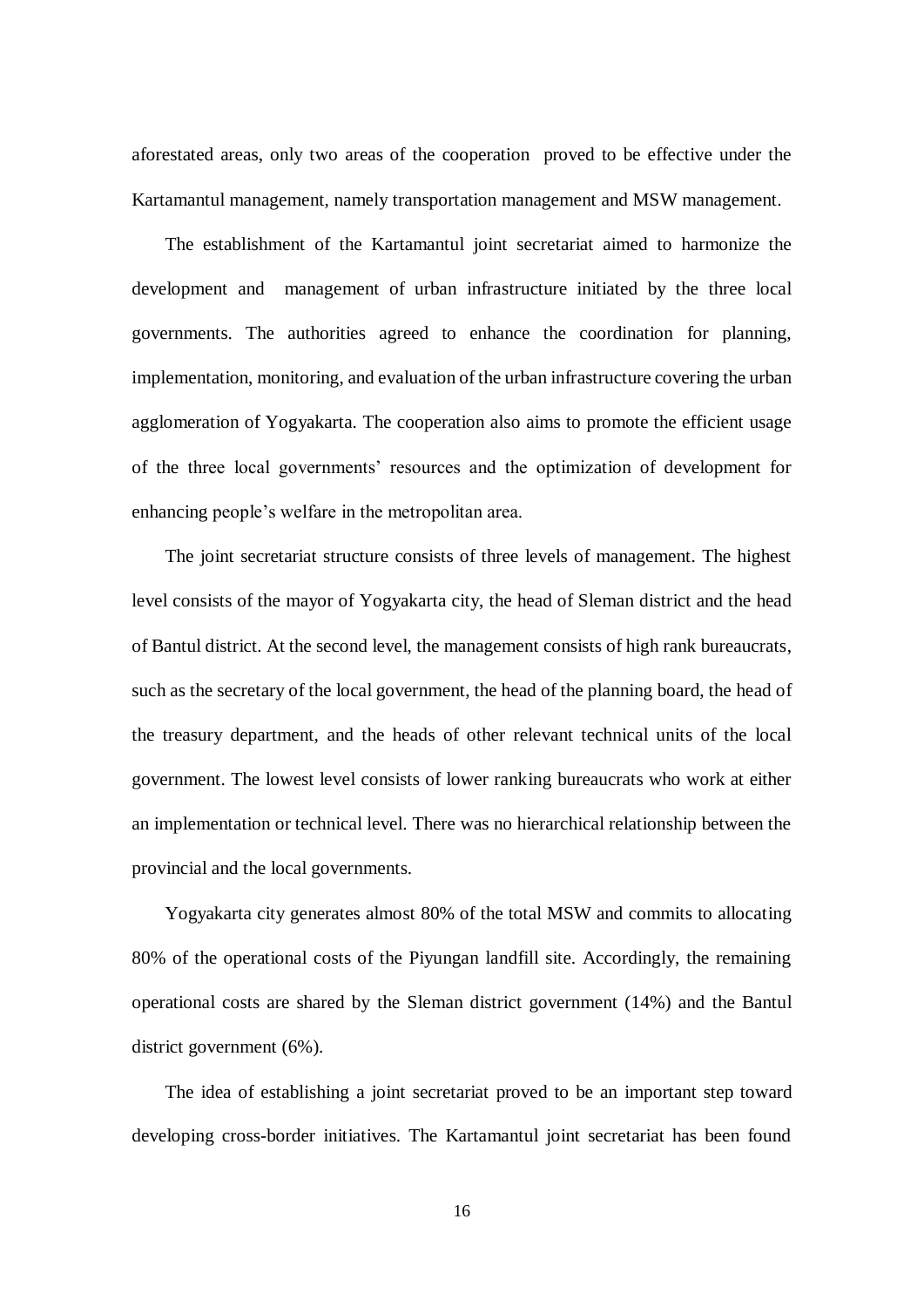aforestated areas, only two areas of the cooperation proved to be effective under the Kartamantul management, namely transportation management and MSW management.

The establishment of the Kartamantul joint secretariat aimed to harmonize the development and management of urban infrastructure initiated by the three local governments. The authorities agreed to enhance the coordination for planning, implementation, monitoring, and evaluation of the urban infrastructure covering the urban agglomeration of Yogyakarta. The cooperation also aims to promote the efficient usage of the three local governments' resources and the optimization of development for enhancing people's welfare in the metropolitan area.

The joint secretariat structure consists of three levels of management. The highest level consists of the mayor of Yogyakarta city, the head of Sleman district and the head of Bantul district. At the second level, the management consists of high rank bureaucrats, such as the secretary of the local government, the head of the planning board, the head of the treasury department, and the heads of other relevant technical units of the local government. The lowest level consists of lower ranking bureaucrats who work at either an implementation or technical level. There was no hierarchical relationship between the provincial and the local governments.

Yogyakarta city generates almost 80% of the total MSW and commits to allocating 80% of the operational costs of the Piyungan landfill site. Accordingly, the remaining operational costs are shared by the Sleman district government (14%) and the Bantul district government (6%).

The idea of establishing a joint secretariat proved to be an important step toward developing cross-border initiatives. The Kartamantul joint secretariat has been found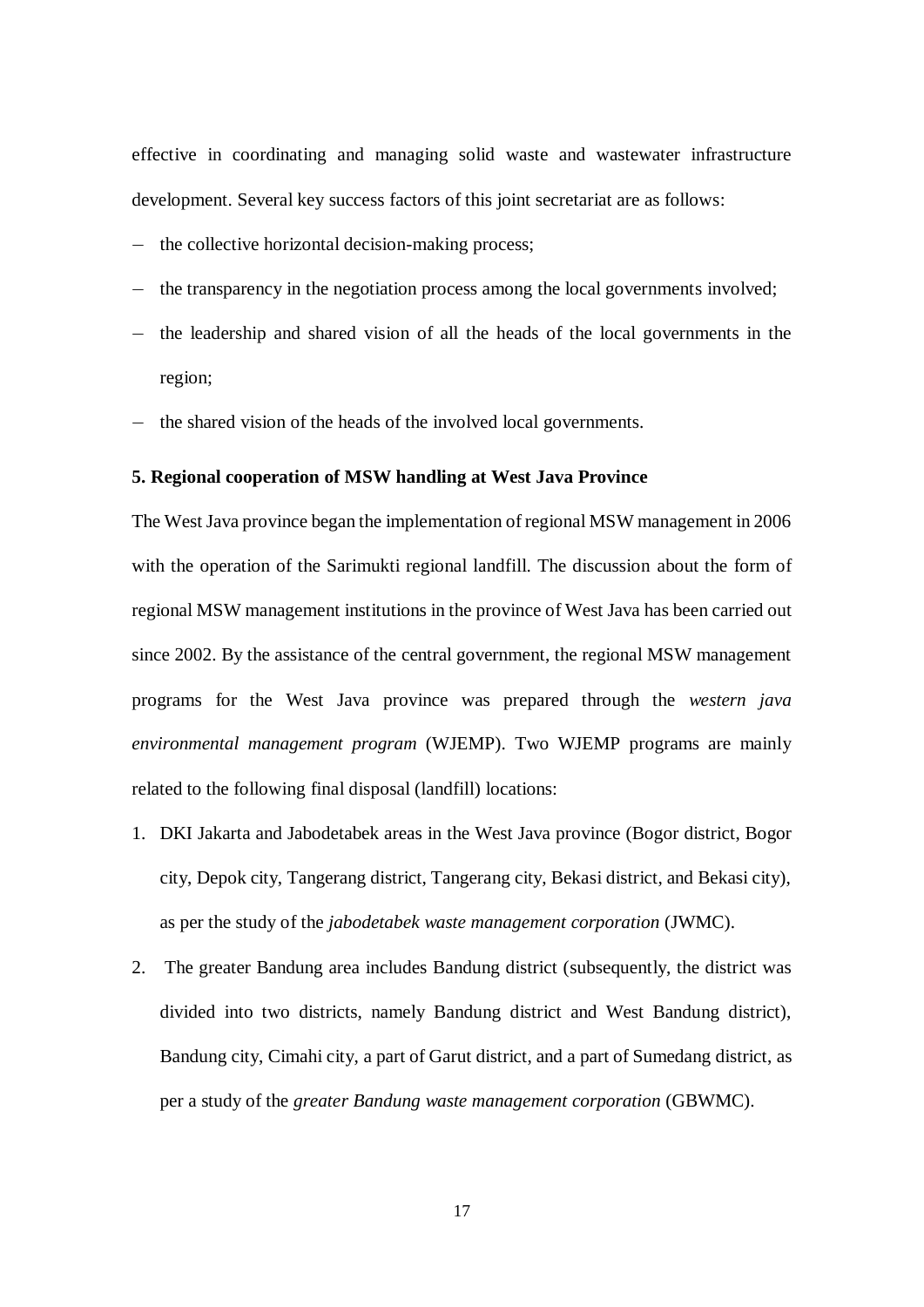effective in coordinating and managing solid waste and wastewater infrastructure development. Several key success factors of this joint secretariat are as follows:

- the collective horizontal decision-making process;
- the transparency in the negotiation process among the local governments involved;
- the leadership and shared vision of all the heads of the local governments in the region;
- the shared vision of the heads of the involved local governments.

# **5. Regional cooperation of MSW handling at West Java Province**

The West Java province began the implementation of regional MSW management in 2006 with the operation of the Sarimukti regional landfill. The discussion about the form of regional MSW management institutions in the province of West Java has been carried out since 2002. By the assistance of the central government, the regional MSW management programs for the West Java province was prepared through the *western java environmental management program* (WJEMP). Two WJEMP programs are mainly related to the following final disposal (landfill) locations:

- 1. DKI Jakarta and Jabodetabek areas in the West Java province (Bogor district, Bogor city, Depok city, Tangerang district, Tangerang city, Bekasi district, and Bekasi city), as per the study of the *jabodetabek waste management corporation* (JWMC).
- 2. The greater Bandung area includes Bandung district (subsequently, the district was divided into two districts, namely Bandung district and West Bandung district), Bandung city, Cimahi city, a part of Garut district, and a part of Sumedang district, as per a study of the *greater Bandung waste management corporation* (GBWMC).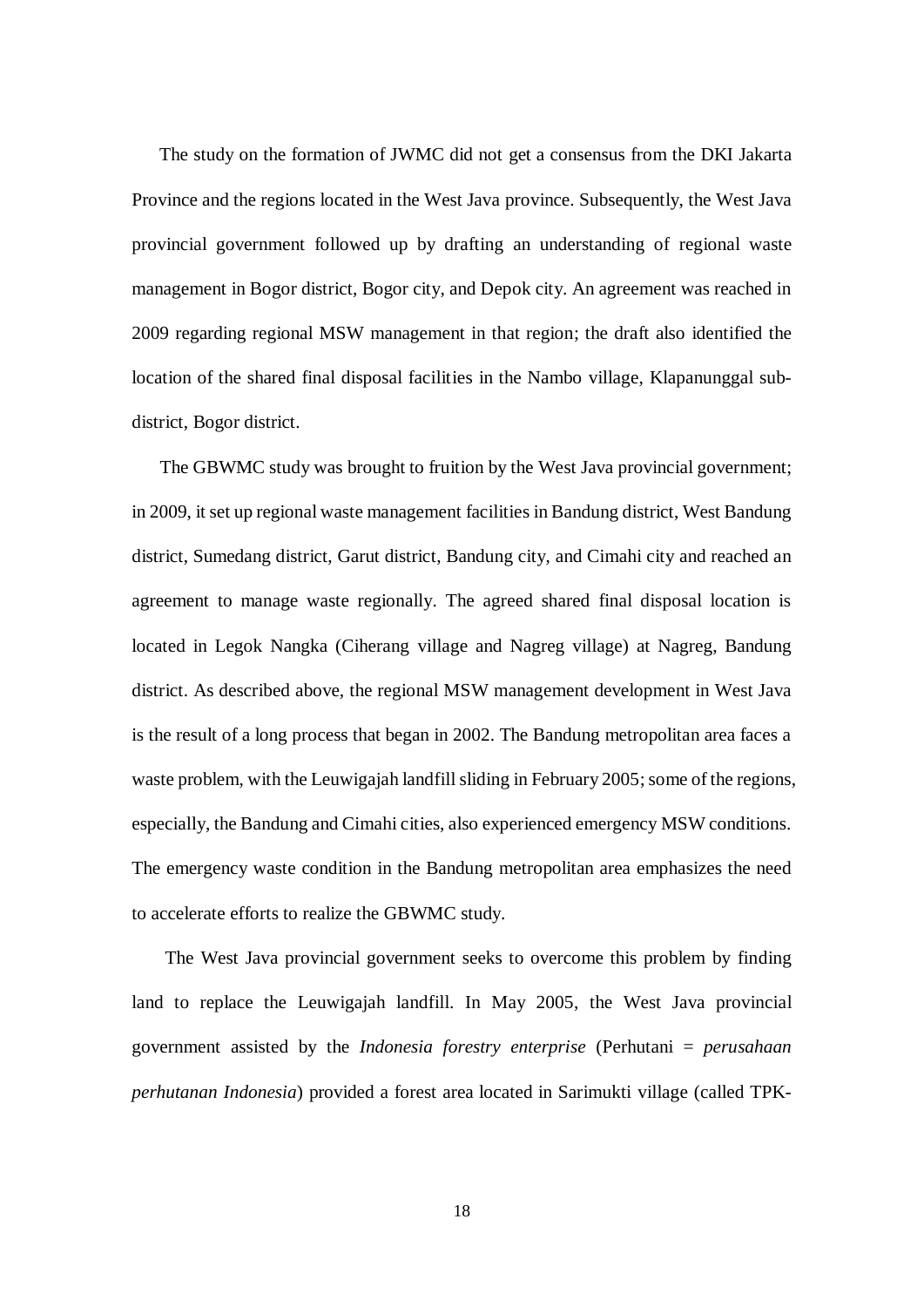The study on the formation of JWMC did not get a consensus from the DKI Jakarta Province and the regions located in the West Java province. Subsequently, the West Java provincial government followed up by drafting an understanding of regional waste management in Bogor district, Bogor city, and Depok city. An agreement was reached in 2009 regarding regional MSW management in that region; the draft also identified the location of the shared final disposal facilities in the Nambo village, Klapanunggal subdistrict, Bogor district.

The GBWMC study was brought to fruition by the West Java provincial government; in 2009, it set up regional waste management facilities in Bandung district, West Bandung district, Sumedang district, Garut district, Bandung city, and Cimahi city and reached an agreement to manage waste regionally. The agreed shared final disposal location is located in Legok Nangka (Ciherang village and Nagreg village) at Nagreg, Bandung district. As described above, the regional MSW management development in West Java is the result of a long process that began in 2002. The Bandung metropolitan area faces a waste problem, with the Leuwigajah landfill sliding in February 2005; some of the regions, especially, the Bandung and Cimahi cities, also experienced emergency MSW conditions. The emergency waste condition in the Bandung metropolitan area emphasizes the need to accelerate efforts to realize the GBWMC study.

The West Java provincial government seeks to overcome this problem by finding land to replace the Leuwigajah landfill. In May 2005, the West Java provincial government assisted by the *Indonesia forestry enterprise* (Perhutani = *perusahaan perhutanan Indonesia*) provided a forest area located in Sarimukti village (called TPK-

18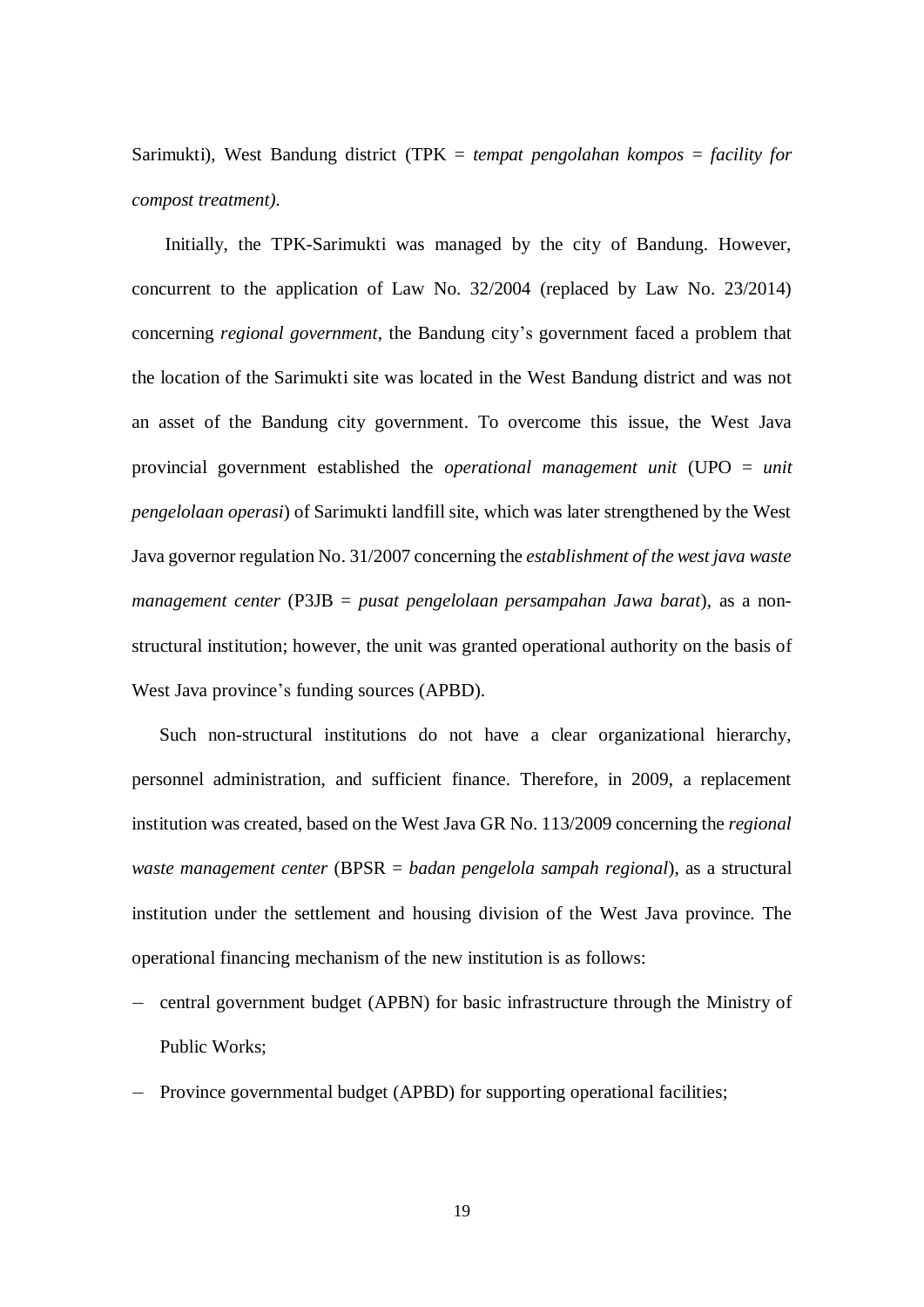Sarimukti), West Bandung district (TPK = *tempat pengolahan kompos* = *facility for compost treatment).*

Initially, the TPK-Sarimukti was managed by the city of Bandung. However, concurrent to the application of Law No. 32/2004 (replaced by Law No. 23/2014) concerning *regional government*, the Bandung city's government faced a problem that the location of the Sarimukti site was located in the West Bandung district and was not an asset of the Bandung city government. To overcome this issue, the West Java provincial government established the *operational management unit* (UPO = *unit pengelolaan operasi*) of Sarimukti landfill site, which was later strengthened by the West Java governor regulation No. 31/2007 concerning the *establishment of the west java waste management center* (P3JB = *pusat pengelolaan persampahan Jawa barat*), as a nonstructural institution; however, the unit was granted operational authority on the basis of West Java province's funding sources (APBD).

Such non-structural institutions do not have a clear organizational hierarchy, personnel administration, and sufficient finance. Therefore, in 2009, a replacement institution was created, based on the West Java GR No. 113/2009 concerning the *regional waste management center* (BPSR = *badan pengelola sampah regional*), as a structural institution under the settlement and housing division of the West Java province. The operational financing mechanism of the new institution is as follows:

- central government budget (APBN) for basic infrastructure through the Ministry of Public Works;
- Province governmental budget (APBD) for supporting operational facilities;

19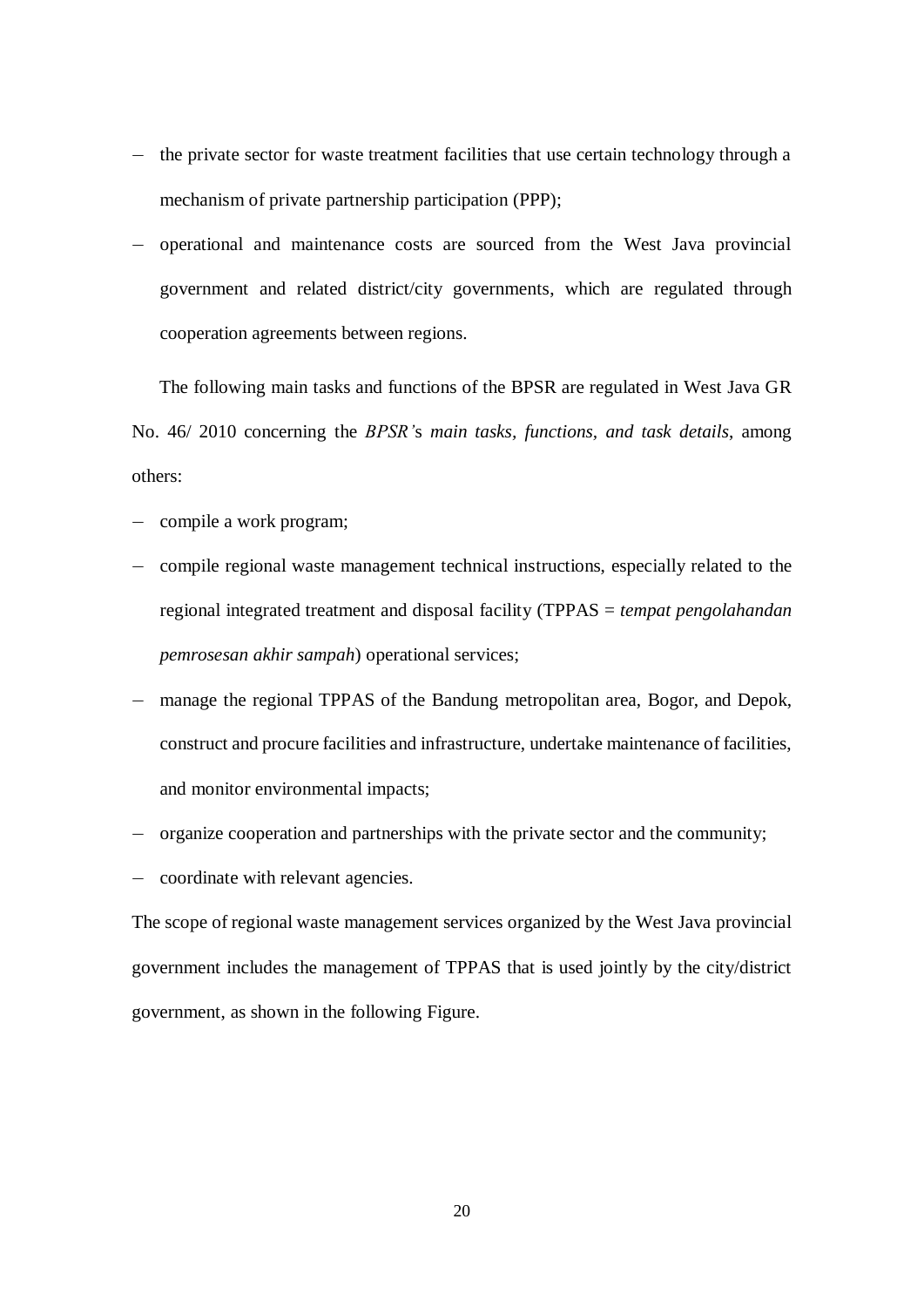- the private sector for waste treatment facilities that use certain technology through a mechanism of private partnership participation (PPP);
- operational and maintenance costs are sourced from the West Java provincial government and related district/city governments, which are regulated through cooperation agreements between regions.

The following main tasks and functions of the BPSR are regulated in West Java GR No. 46/ 2010 concerning the *BPSR'*s *main tasks, functions, and task details*, among others:

- compile a work program;
- compile regional waste management technical instructions, especially related to the regional integrated treatment and disposal facility (TPPAS = *tempat pengolahandan pemrosesan akhir sampah*) operational services;
- manage the regional TPPAS of the Bandung metropolitan area, Bogor, and Depok, construct and procure facilities and infrastructure, undertake maintenance of facilities, and monitor environmental impacts;
- organize cooperation and partnerships with the private sector and the community;
- coordinate with relevant agencies.

The scope of regional waste management services organized by the West Java provincial government includes the management of TPPAS that is used jointly by the city/district government, as shown in the following Figure.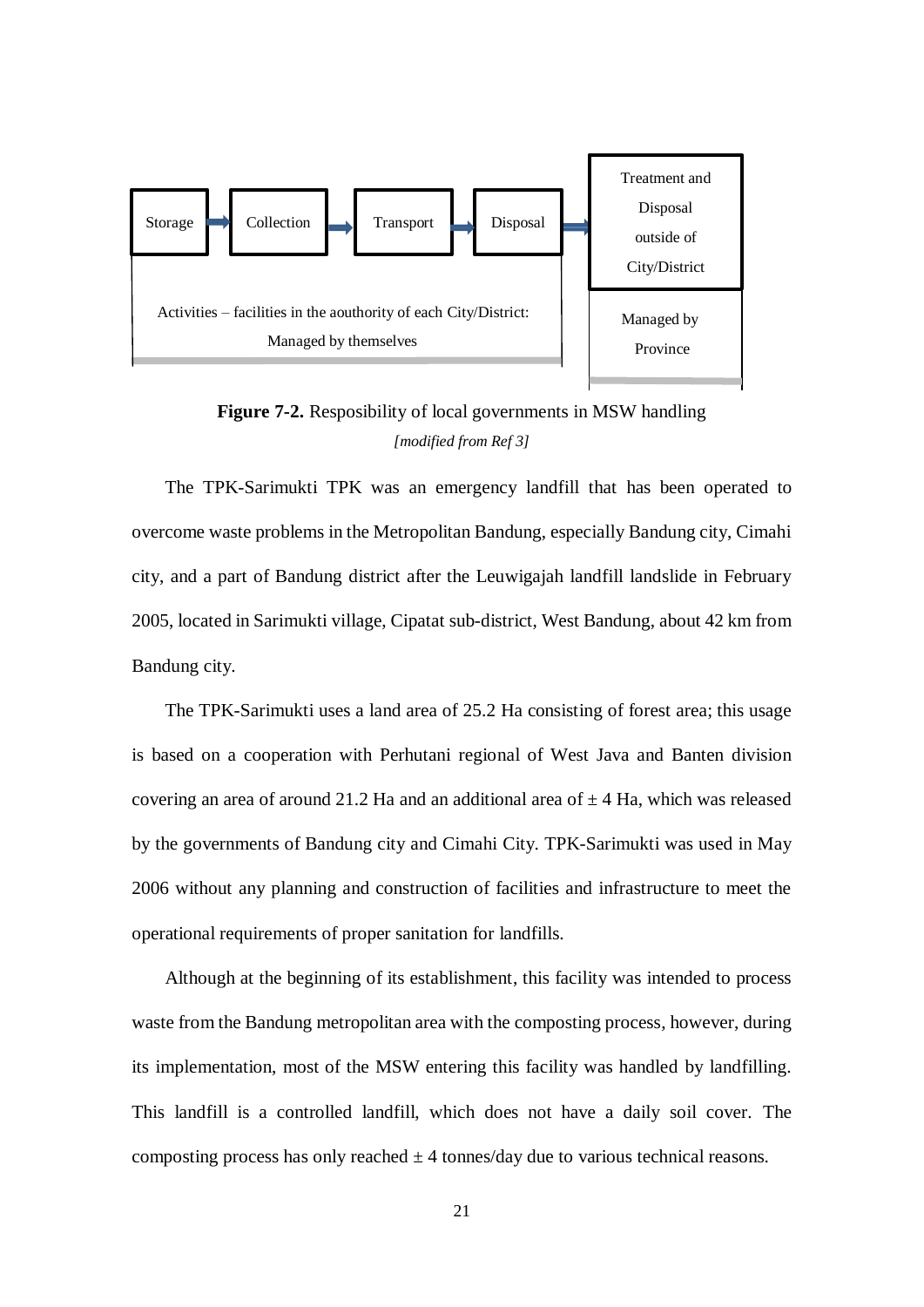

**Figure 7-2.** Resposibility of local governments in MSW handling *[modified from Ref 3]*

The TPK-Sarimukti TPK was an emergency landfill that has been operated to overcome waste problems in the Metropolitan Bandung, especially Bandung city, Cimahi city, and a part of Bandung district after the Leuwigajah landfill landslide in February 2005, located in Sarimukti village, Cipatat sub-district, West Bandung, about 42 km from Bandung city.

The TPK-Sarimukti uses a land area of 25.2 Ha consisting of forest area; this usage is based on a cooperation with Perhutani regional of West Java and Banten division covering an area of around 21.2 Ha and an additional area of  $\pm$  4 Ha, which was released by the governments of Bandung city and Cimahi City. TPK-Sarimukti was used in May 2006 without any planning and construction of facilities and infrastructure to meet the operational requirements of proper sanitation for landfills.

Although at the beginning of its establishment, this facility was intended to process waste from the Bandung metropolitan area with the composting process, however, during its implementation, most of the MSW entering this facility was handled by landfilling. This landfill is a controlled landfill, which does not have a daily soil cover. The composting process has only reached  $\pm$  4 tonnes/day due to various technical reasons.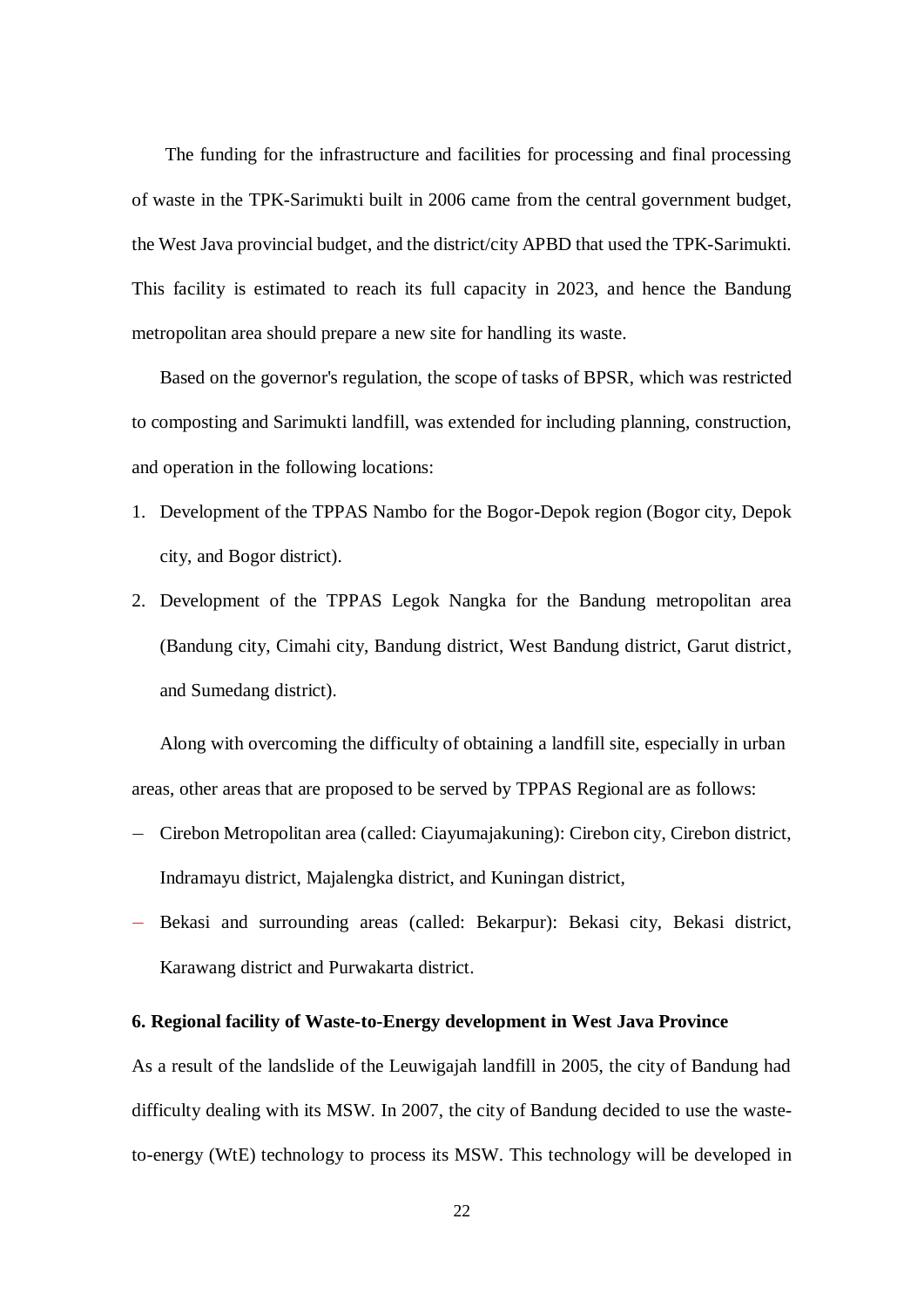The funding for the infrastructure and facilities for processing and final processing of waste in the TPK-Sarimukti built in 2006 came from the central government budget, the West Java provincial budget, and the district/city APBD that used the TPK-Sarimukti. This facility is estimated to reach its full capacity in 2023, and hence the Bandung metropolitan area should prepare a new site for handling its waste.

Based on the governor's regulation, the scope of tasks of BPSR, which was restricted to composting and Sarimukti landfill, was extended for including planning, construction, and operation in the following locations:

- 1. Development of the TPPAS Nambo for the Bogor-Depok region (Bogor city, Depok city, and Bogor district).
- 2. Development of the TPPAS Legok Nangka for the Bandung metropolitan area (Bandung city, Cimahi city, Bandung district, West Bandung district, Garut district, and Sumedang district).

Along with overcoming the difficulty of obtaining a landfill site, especially in urban areas, other areas that are proposed to be served by TPPAS Regional are as follows:

- Cirebon Metropolitan area (called: Ciayumajakuning): Cirebon city, Cirebon district, Indramayu district, Majalengka district, and Kuningan district,
- Bekasi and surrounding areas (called: Bekarpur): Bekasi city, Bekasi district, Karawang district and Purwakarta district.

#### **6. Regional facility of Waste-to-Energy development in West Java Province**

As a result of the landslide of the Leuwigajah landfill in 2005, the city of Bandung had difficulty dealing with its MSW. In 2007, the city of Bandung decided to use the wasteto-energy (WtE) technology to process its MSW. This technology will be developed in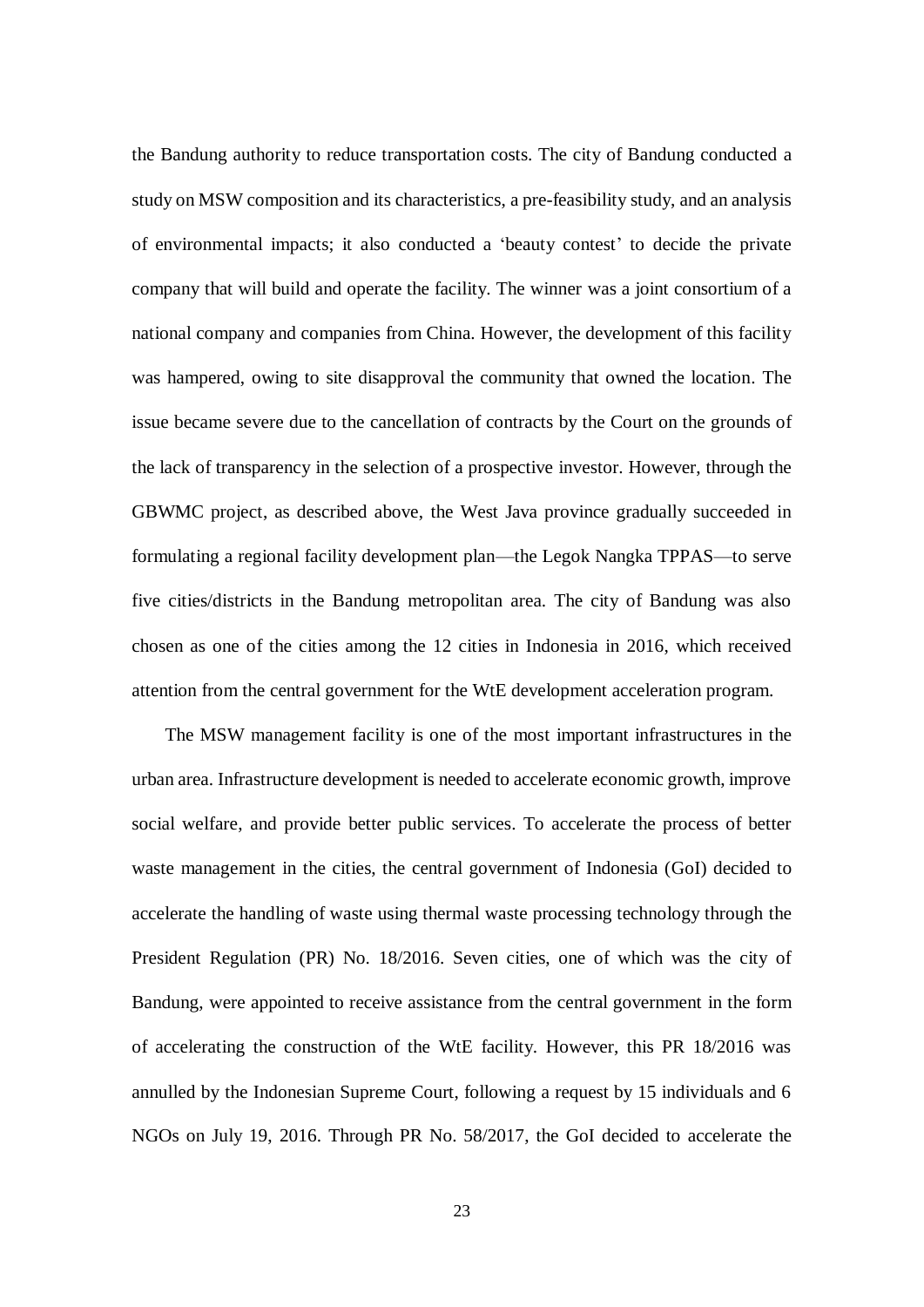the Bandung authority to reduce transportation costs. The city of Bandung conducted a study on MSW composition and its characteristics, a pre-feasibility study, and an analysis of environmental impacts; it also conducted a 'beauty contest' to decide the private company that will build and operate the facility. The winner was a joint consortium of a national company and companies from China. However, the development of this facility was hampered, owing to site disapproval the community that owned the location. The issue became severe due to the cancellation of contracts by the Court on the grounds of the lack of transparency in the selection of a prospective investor. However, through the GBWMC project, as described above, the West Java province gradually succeeded in formulating a regional facility development plan—the Legok Nangka TPPAS—to serve five cities/districts in the Bandung metropolitan area. The city of Bandung was also chosen as one of the cities among the 12 cities in Indonesia in 2016, which received attention from the central government for the WtE development acceleration program.

The MSW management facility is one of the most important infrastructures in the urban area. Infrastructure development is needed to accelerate economic growth, improve social welfare, and provide better public services. To accelerate the process of better waste management in the cities, the central government of Indonesia (GoI) decided to accelerate the handling of waste using thermal waste processing technology through the President Regulation (PR) No. 18/2016. Seven cities, one of which was the city of Bandung, were appointed to receive assistance from the central government in the form of accelerating the construction of the WtE facility. However, this PR 18/2016 was annulled by the Indonesian Supreme Court, following a request by 15 individuals and 6 NGOs on July 19, 2016. Through PR No. 58/2017, the GoI decided to accelerate the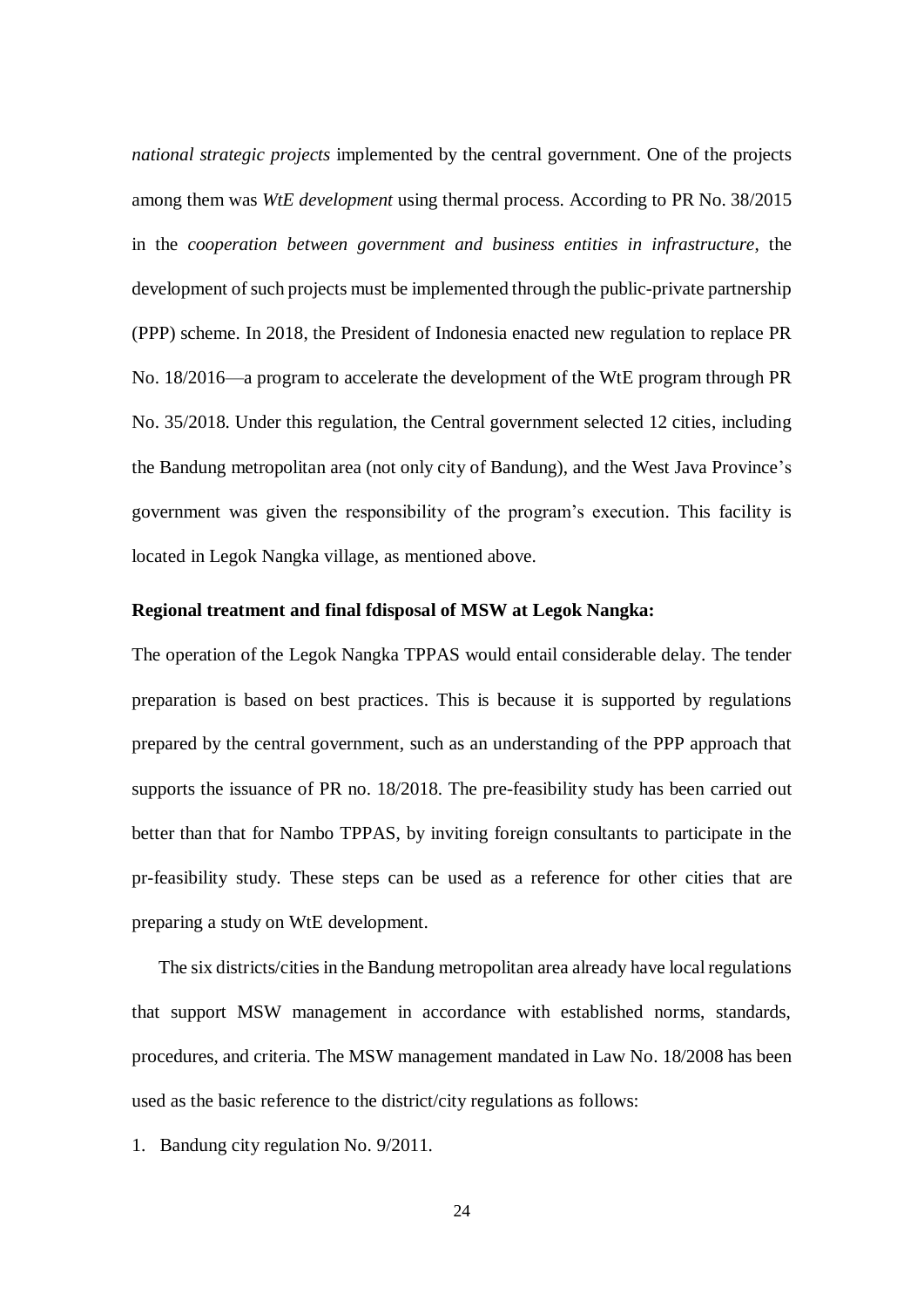*national strategic projects* implemented by the central government. One of the projects among them was *WtE development* using thermal process. According to PR No. 38/2015 in the *cooperation between government and business entities in infrastructure*, the development of such projects must be implemented through the public-private partnership (PPP) scheme. In 2018, the President of Indonesia enacted new regulation to replace PR No. 18/2016—a program to accelerate the development of the WtE program through PR No. 35/2018. Under this regulation, the Central government selected 12 cities, including the Bandung metropolitan area (not only city of Bandung), and the West Java Province's government was given the responsibility of the program's execution. This facility is located in Legok Nangka village, as mentioned above.

#### **Regional treatment and final fdisposal of MSW at Legok Nangka:**

The operation of the Legok Nangka TPPAS would entail considerable delay. The tender preparation is based on best practices. This is because it is supported by regulations prepared by the central government, such as an understanding of the PPP approach that supports the issuance of PR no. 18/2018. The pre-feasibility study has been carried out better than that for Nambo TPPAS, by inviting foreign consultants to participate in the pr-feasibility study. These steps can be used as a reference for other cities that are preparing a study on WtE development.

The six districts/cities in the Bandung metropolitan area already have local regulations that support MSW management in accordance with established norms, standards, procedures, and criteria. The MSW management mandated in Law No. 18/2008 has been used as the basic reference to the district/city regulations as follows:

1. Bandung city regulation No. 9/2011.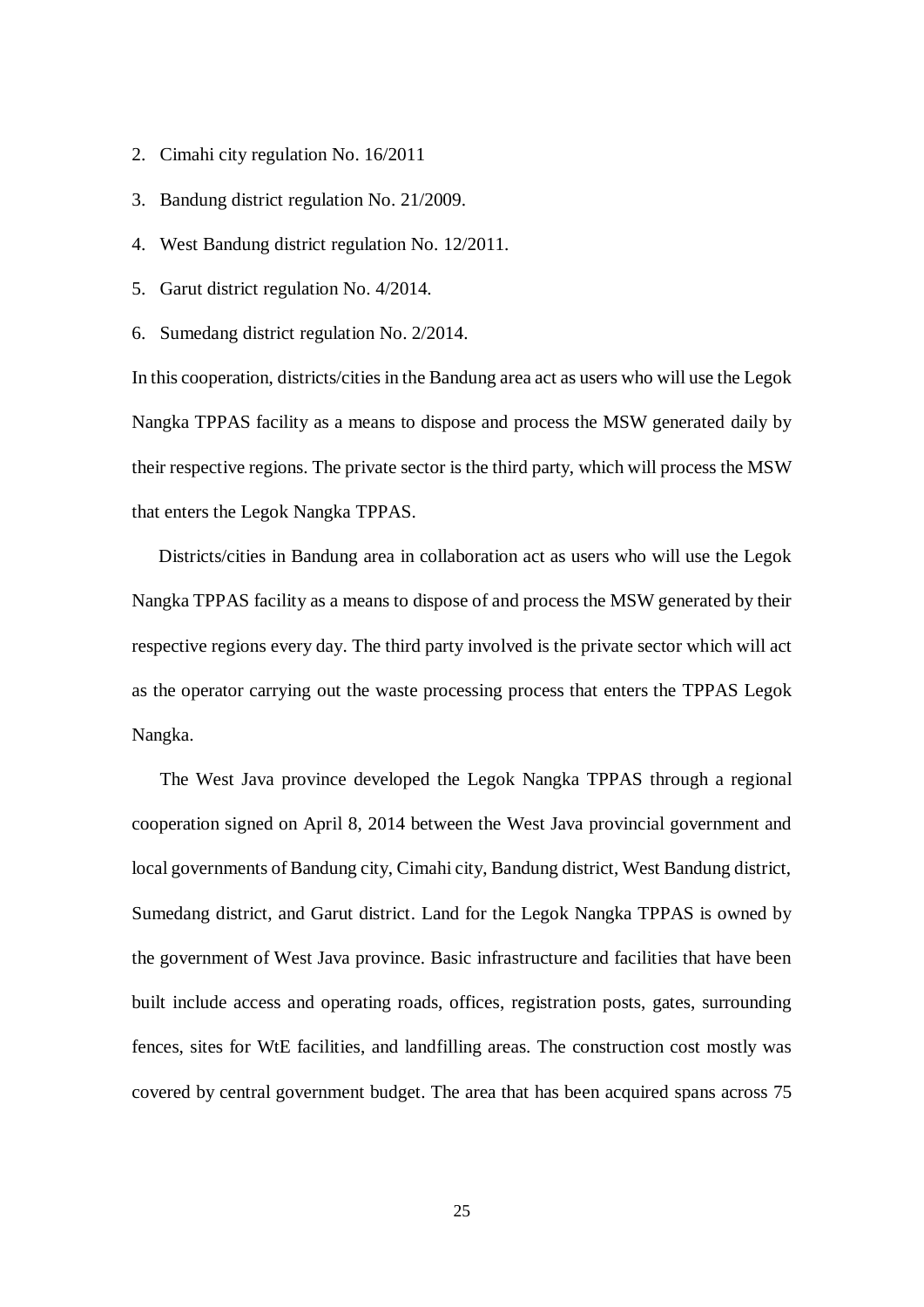- 2. Cimahi city regulation No. 16/2011
- 3. Bandung district regulation No. 21/2009.
- 4. West Bandung district regulation No. 12/2011.
- 5. Garut district regulation No. 4/2014.
- 6. Sumedang district regulation No. 2/2014.

In this cooperation, districts/cities in the Bandung area act as users who will use the Legok Nangka TPPAS facility as a means to dispose and process the MSW generated daily by their respective regions. The private sector is the third party, which will process the MSW that enters the Legok Nangka TPPAS.

Districts/cities in Bandung area in collaboration act as users who will use the Legok Nangka TPPAS facility as a means to dispose of and process the MSW generated by their respective regions every day. The third party involved is the private sector which will act as the operator carrying out the waste processing process that enters the TPPAS Legok Nangka.

The West Java province developed the Legok Nangka TPPAS through a regional cooperation signed on April 8, 2014 between the West Java provincial government and local governments of Bandung city, Cimahi city, Bandung district, West Bandung district, Sumedang district, and Garut district. Land for the Legok Nangka TPPAS is owned by the government of West Java province. Basic infrastructure and facilities that have been built include access and operating roads, offices, registration posts, gates, surrounding fences, sites for WtE facilities, and landfilling areas. The construction cost mostly was covered by central government budget. The area that has been acquired spans across 75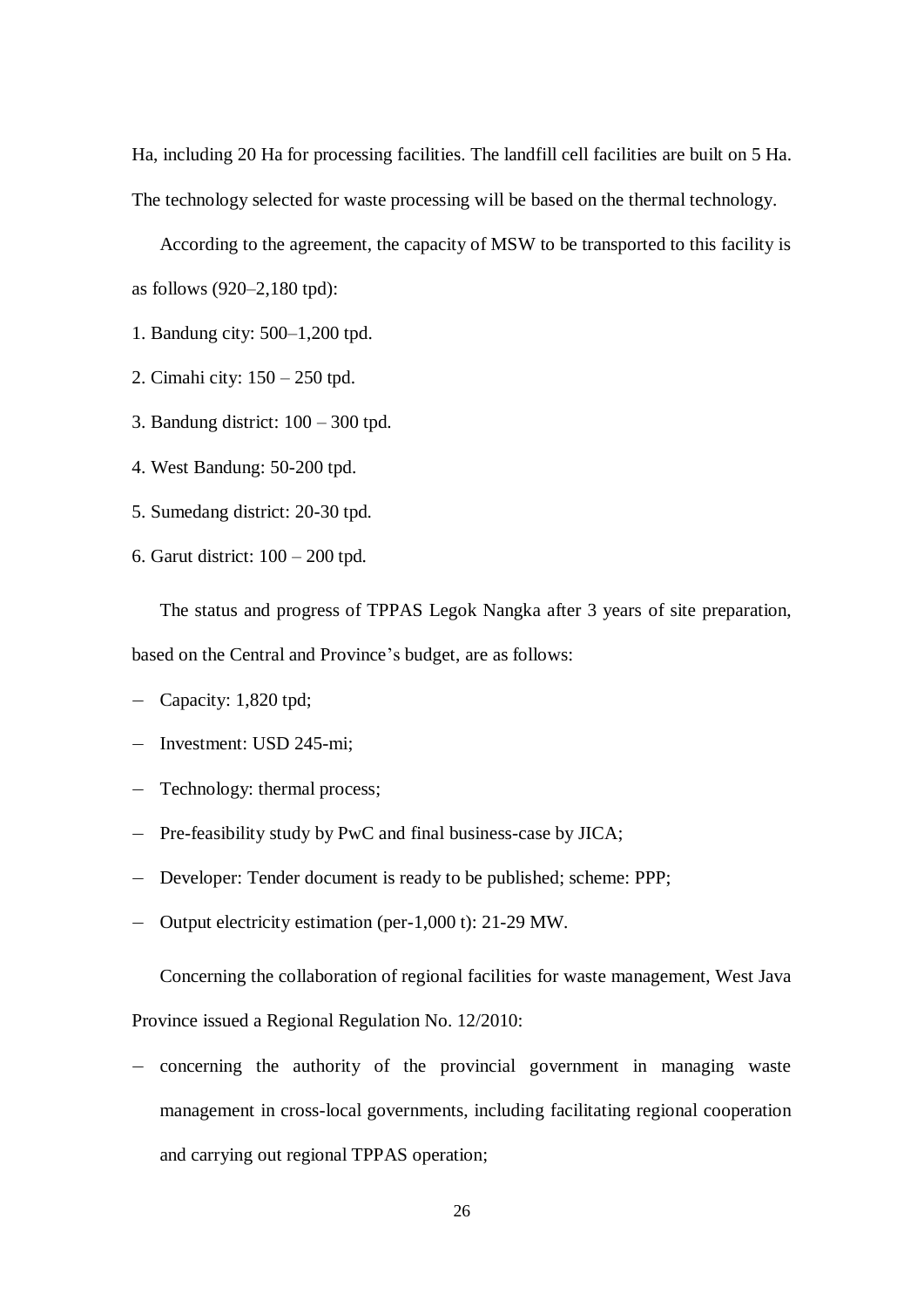Ha, including 20 Ha for processing facilities. The landfill cell facilities are built on 5 Ha. The technology selected for waste processing will be based on the thermal technology.

According to the agreement, the capacity of MSW to be transported to this facility is as follows (920–2,180 tpd):

- 1. Bandung city: 500–1,200 tpd.
- 2. Cimahi city: 150 250 tpd.
- 3. Bandung district: 100 300 tpd.
- 4. West Bandung: 50-200 tpd.
- 5. Sumedang district: 20-30 tpd.
- 6. Garut district: 100 200 tpd.

The status and progress of TPPAS Legok Nangka after 3 years of site preparation, based on the Central and Province's budget, are as follows:

- Capacity: 1,820 tpd;
- Investment: USD 245-mi;
- Technology: thermal process;
- Pre-feasibility study by PwC and final business-case by JICA;
- Developer: Tender document is ready to be published; scheme: PPP;
- Output electricity estimation (per-1,000 t): 21-29 MW.

Concerning the collaboration of regional facilities for waste management, West Java

Province issued a Regional Regulation No. 12/2010:

— concerning the authority of the provincial government in managing waste management in cross-local governments, including facilitating regional cooperation and carrying out regional TPPAS operation;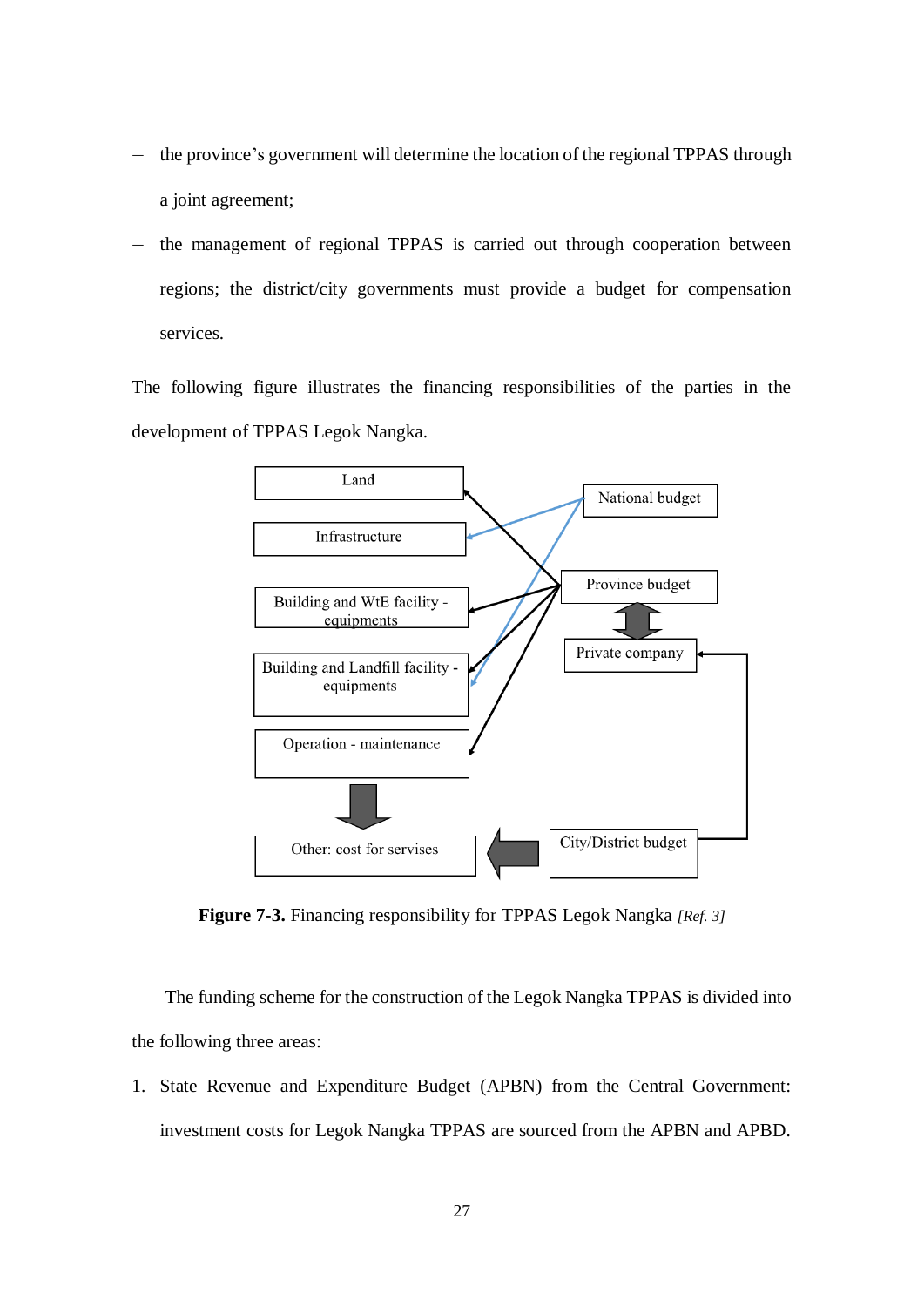- the province's government will determine the location of the regional TPPAS through a joint agreement;
- the management of regional TPPAS is carried out through cooperation between regions; the district/city governments must provide a budget for compensation services.

The following figure illustrates the financing responsibilities of the parties in the development of TPPAS Legok Nangka.



**Figure 7-3.** Financing responsibility for TPPAS Legok Nangka *[Ref. 3]*

The funding scheme for the construction of the Legok Nangka TPPAS is divided into the following three areas:

1. State Revenue and Expenditure Budget (APBN) from the Central Government: investment costs for Legok Nangka TPPAS are sourced from the APBN and APBD.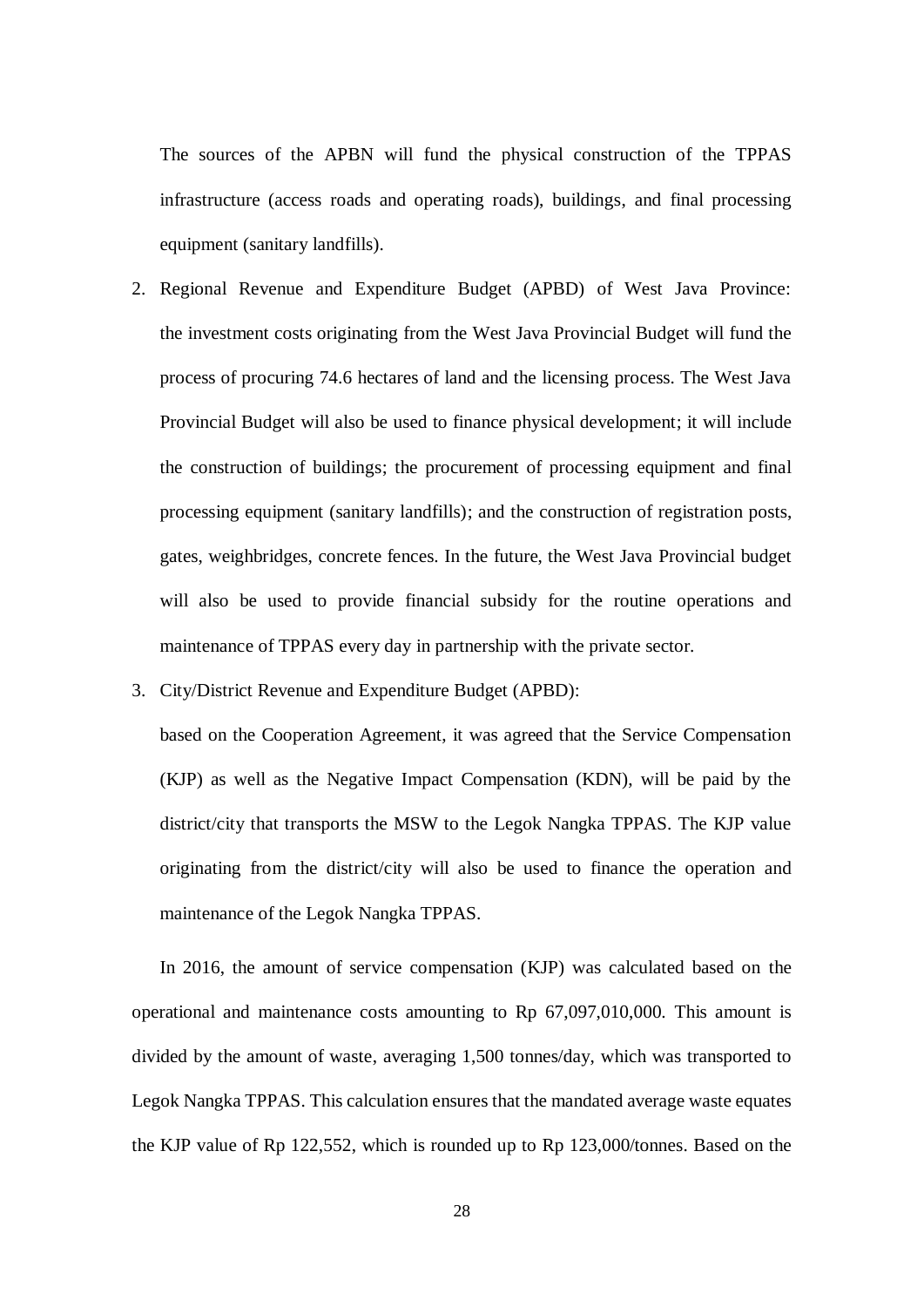The sources of the APBN will fund the physical construction of the TPPAS infrastructure (access roads and operating roads), buildings, and final processing equipment (sanitary landfills).

- 2. Regional Revenue and Expenditure Budget (APBD) of West Java Province: the investment costs originating from the West Java Provincial Budget will fund the process of procuring 74.6 hectares of land and the licensing process. The West Java Provincial Budget will also be used to finance physical development; it will include the construction of buildings; the procurement of processing equipment and final processing equipment (sanitary landfills); and the construction of registration posts, gates, weighbridges, concrete fences. In the future, the West Java Provincial budget will also be used to provide financial subsidy for the routine operations and maintenance of TPPAS every day in partnership with the private sector.
- 3. City/District Revenue and Expenditure Budget (APBD):

based on the Cooperation Agreement, it was agreed that the Service Compensation (KJP) as well as the Negative Impact Compensation (KDN), will be paid by the district/city that transports the MSW to the Legok Nangka TPPAS. The KJP value originating from the district/city will also be used to finance the operation and maintenance of the Legok Nangka TPPAS.

In 2016, the amount of service compensation (KJP) was calculated based on the operational and maintenance costs amounting to Rp 67,097,010,000. This amount is divided by the amount of waste, averaging 1,500 tonnes/day, which was transported to Legok Nangka TPPAS. This calculation ensures that the mandated average waste equates the KJP value of Rp 122,552, which is rounded up to Rp 123,000/tonnes. Based on the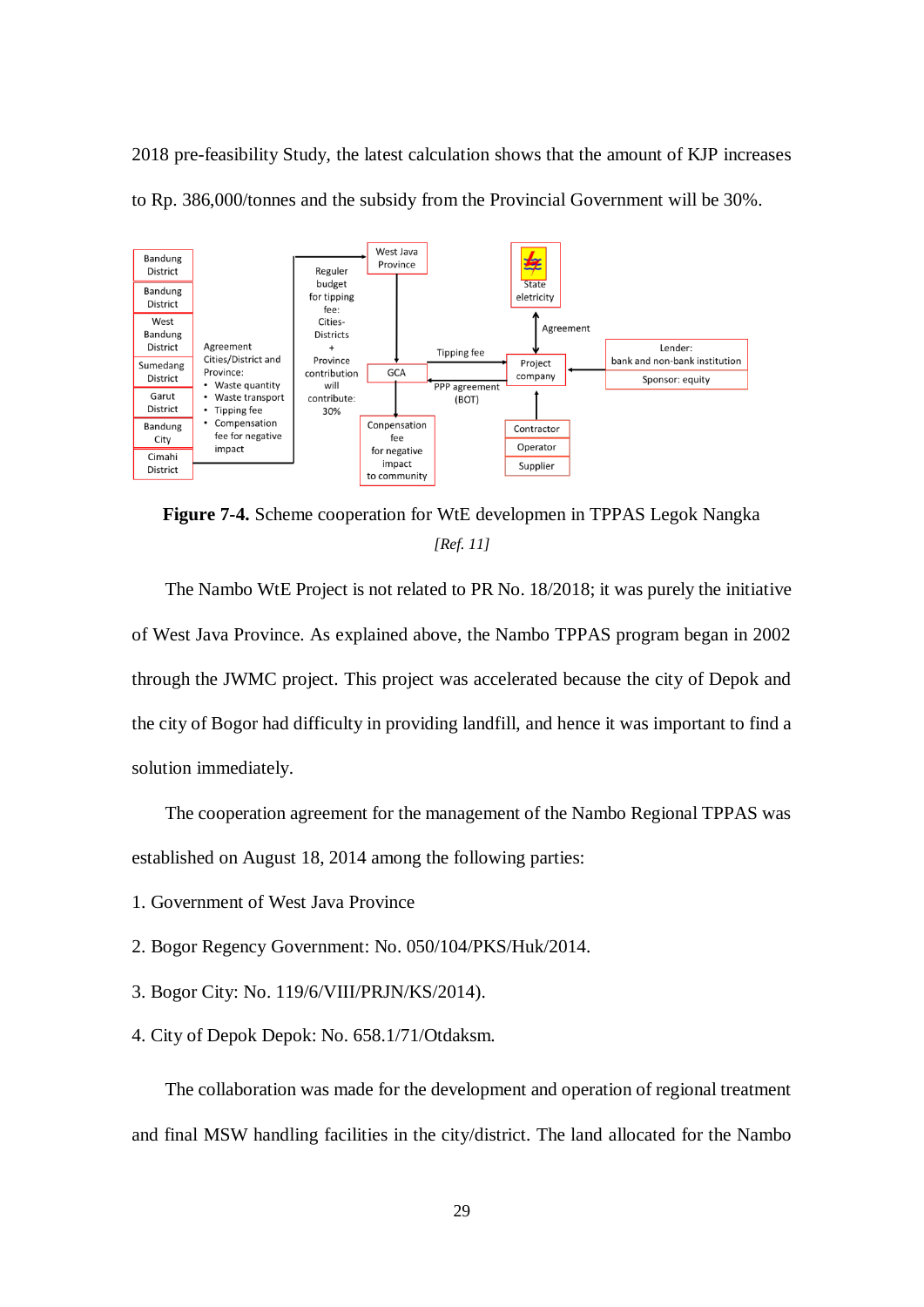2018 pre-feasibility Study, the latest calculation shows that the amount of KJP increases to Rp. 386,000/tonnes and the subsidy from the Provincial Government will be 30%.



**Figure 7-4.** Scheme cooperation for WtE developmen in TPPAS Legok Nangka *[Ref. 11]*

The Nambo WtE Project is not related to PR No. 18/2018; it was purely the initiative of West Java Province. As explained above, the Nambo TPPAS program began in 2002 through the JWMC project. This project was accelerated because the city of Depok and the city of Bogor had difficulty in providing landfill, and hence it was important to find a solution immediately.

The cooperation agreement for the management of the Nambo Regional TPPAS was established on August 18, 2014 among the following parties:

- 1. Government of West Java Province
- 2. Bogor Regency Government: No. 050/104/PKS/Huk/2014.
- 3. Bogor City: No. 119/6/VIII/PRJN/KS/2014).
- 4. City of Depok Depok: No. 658.1/71/Otdaksm.

The collaboration was made for the development and operation of regional treatment and final MSW handling facilities in the city/district. The land allocated for the Nambo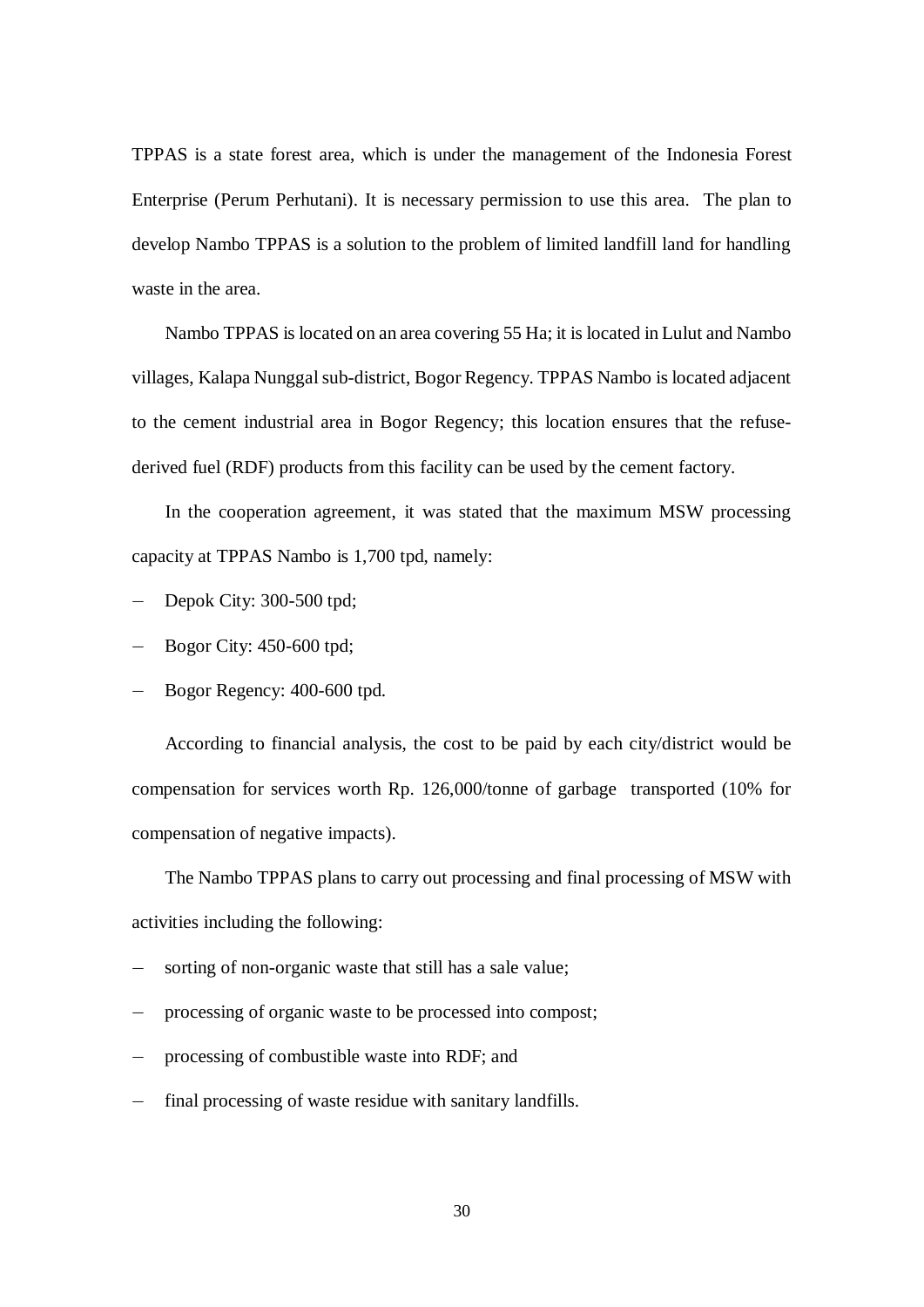TPPAS is a state forest area, which is under the management of the Indonesia Forest Enterprise (Perum Perhutani). It is necessary permission to use this area. The plan to develop Nambo TPPAS is a solution to the problem of limited landfill land for handling waste in the area.

Nambo TPPAS is located on an area covering 55 Ha; it is located in Lulut and Nambo villages, Kalapa Nunggal sub-district, Bogor Regency. TPPAS Nambo is located adjacent to the cement industrial area in Bogor Regency; this location ensures that the refusederived fuel (RDF) products from this facility can be used by the cement factory.

In the cooperation agreement, it was stated that the maximum MSW processing capacity at TPPAS Nambo is 1,700 tpd, namely:

- Depok City: 300-500 tpd;
- Bogor City: 450-600 tpd;
- Bogor Regency: 400-600 tpd.

According to financial analysis, the cost to be paid by each city/district would be compensation for services worth Rp. 126,000/tonne of garbage transported (10% for compensation of negative impacts).

The Nambo TPPAS plans to carry out processing and final processing of MSW with activities including the following:

- sorting of non-organic waste that still has a sale value:
- processing of organic waste to be processed into compost;
- processing of combustible waste into RDF; and
- final processing of waste residue with sanitary landfills.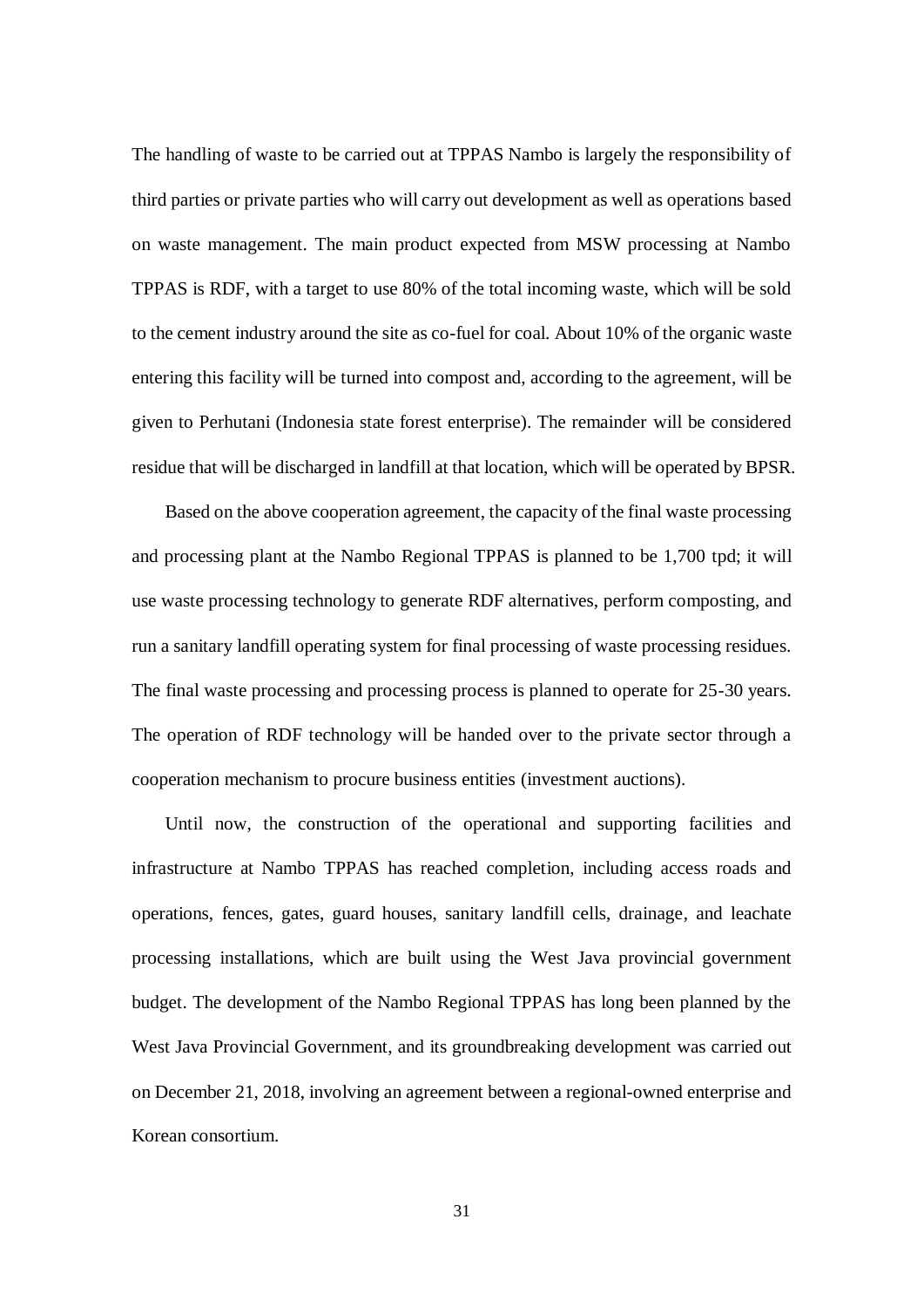The handling of waste to be carried out at TPPAS Nambo is largely the responsibility of third parties or private parties who will carry out development as well as operations based on waste management. The main product expected from MSW processing at Nambo TPPAS is RDF, with a target to use 80% of the total incoming waste, which will be sold to the cement industry around the site as co-fuel for coal. About 10% of the organic waste entering this facility will be turned into compost and, according to the agreement, will be given to Perhutani (Indonesia state forest enterprise). The remainder will be considered residue that will be discharged in landfill at that location, which will be operated by BPSR.

Based on the above cooperation agreement, the capacity of the final waste processing and processing plant at the Nambo Regional TPPAS is planned to be 1,700 tpd; it will use waste processing technology to generate RDF alternatives, perform composting, and run a sanitary landfill operating system for final processing of waste processing residues. The final waste processing and processing process is planned to operate for 25-30 years. The operation of RDF technology will be handed over to the private sector through a cooperation mechanism to procure business entities (investment auctions).

Until now, the construction of the operational and supporting facilities and infrastructure at Nambo TPPAS has reached completion, including access roads and operations, fences, gates, guard houses, sanitary landfill cells, drainage, and leachate processing installations, which are built using the West Java provincial government budget. The development of the Nambo Regional TPPAS has long been planned by the West Java Provincial Government, and its groundbreaking development was carried out on December 21, 2018, involving an agreement between a regional-owned enterprise and Korean consortium.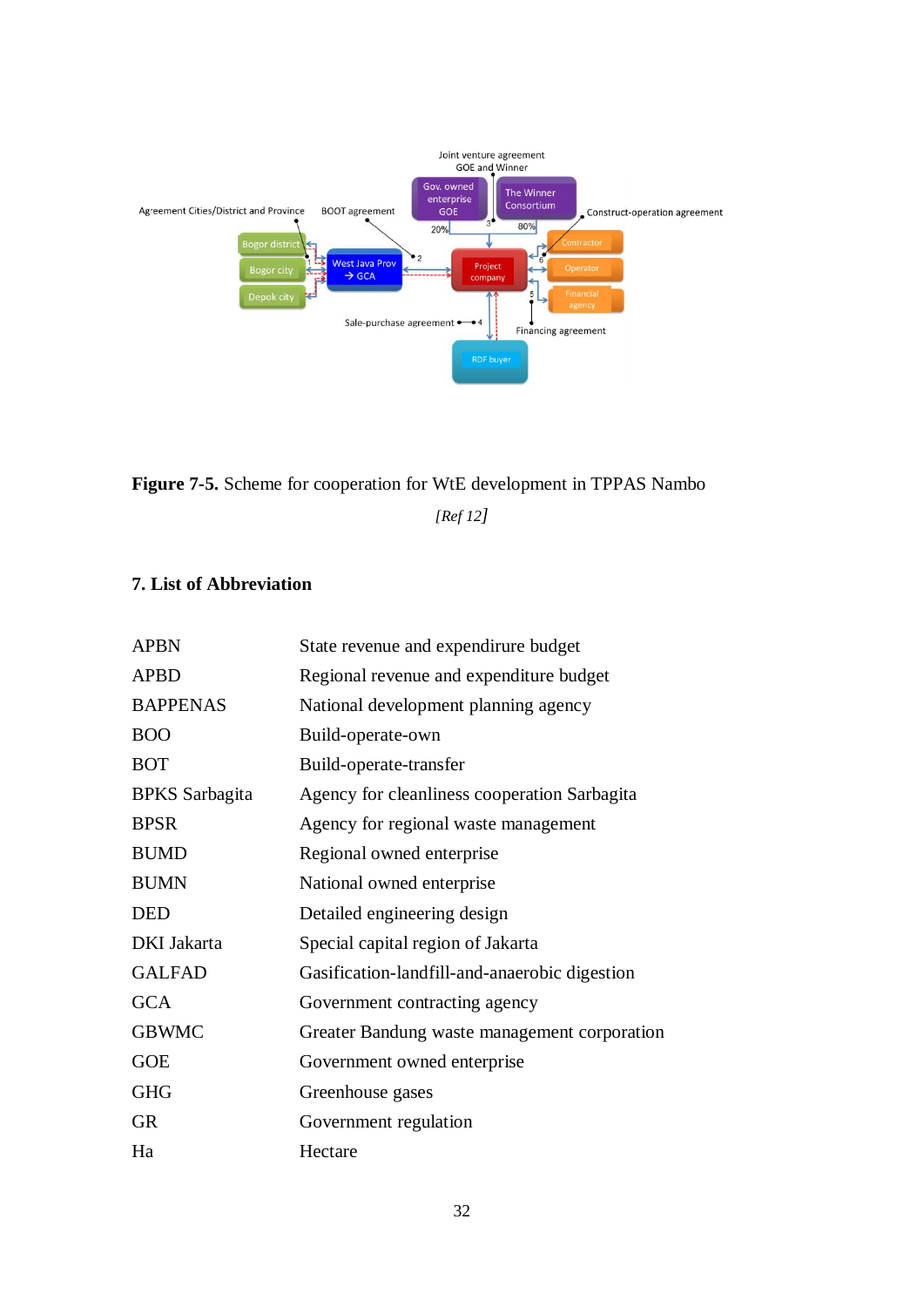

**Figure 7-5.** Scheme for cooperation for WtE development in TPPAS Nambo *[Ref 12]*

# **7. List of Abbreviation**

| <b>APBN</b>           | State revenue and expendirure budget          |
|-----------------------|-----------------------------------------------|
| <b>APBD</b>           | Regional revenue and expenditure budget       |
| <b>BAPPENAS</b>       | National development planning agency          |
| <b>BOO</b>            | Build-operate-own                             |
| <b>BOT</b>            | Build-operate-transfer                        |
| <b>BPKS</b> Sarbagita | Agency for cleanliness cooperation Sarbagita  |
| <b>BPSR</b>           | Agency for regional waste management          |
| <b>BUMD</b>           | Regional owned enterprise                     |
| <b>BUMN</b>           | National owned enterprise                     |
| <b>DED</b>            | Detailed engineering design                   |
| DKI Jakarta           | Special capital region of Jakarta             |
| <b>GALFAD</b>         | Gasification-landfill-and-anaerobic digestion |
| <b>GCA</b>            | Government contracting agency                 |
| <b>GBWMC</b>          | Greater Bandung waste management corporation  |
| <b>GOE</b>            | Government owned enterprise                   |
| <b>GHG</b>            | Greenhouse gases                              |
| <b>GR</b>             | Government regulation                         |
| Ha                    | Hectare                                       |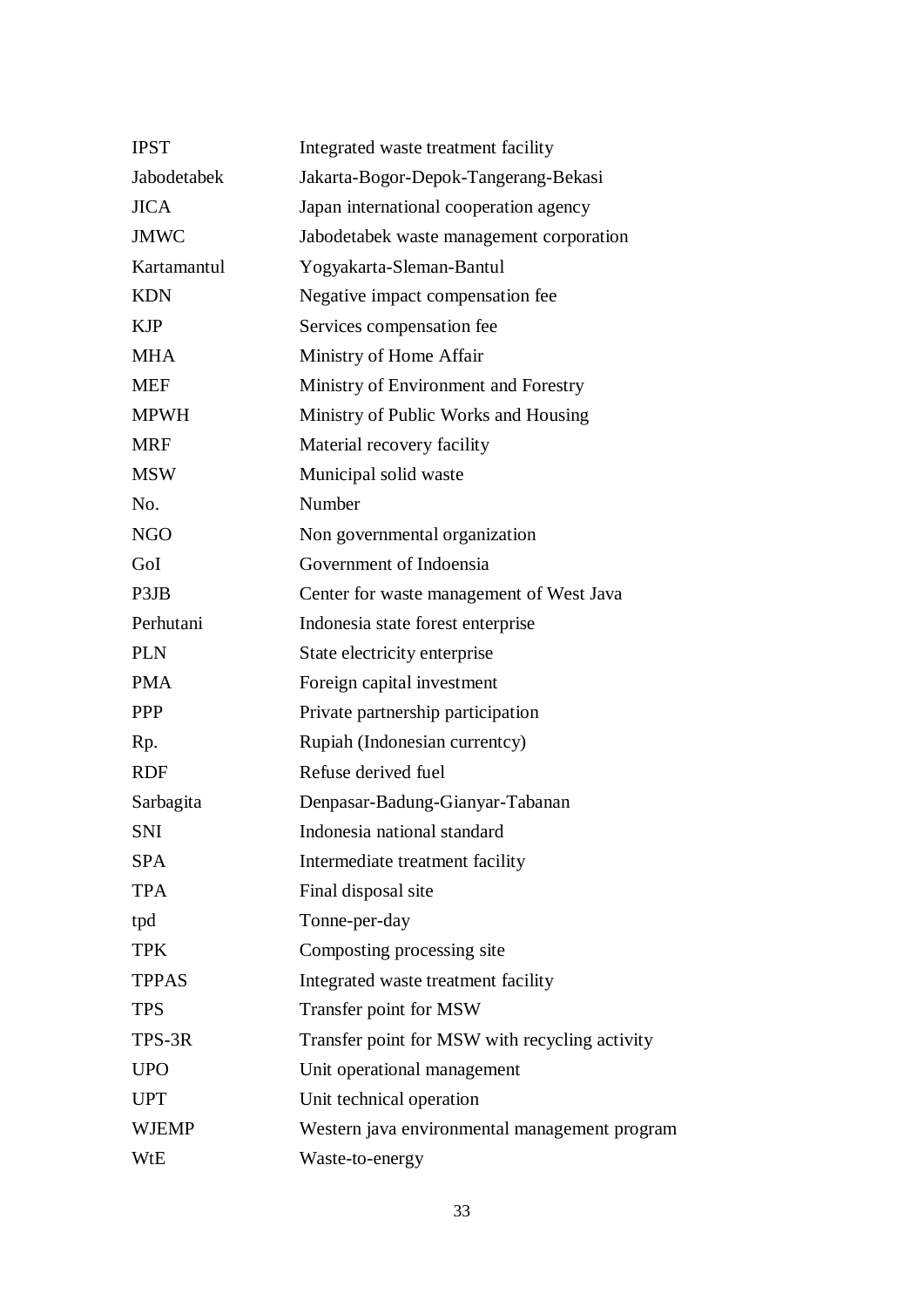| <b>IPST</b>  | Integrated waste treatment facility            |
|--------------|------------------------------------------------|
| Jabodetabek  | Jakarta-Bogor-Depok-Tangerang-Bekasi           |
| <b>JICA</b>  | Japan international cooperation agency         |
| <b>JMWC</b>  | Jabodetabek waste management corporation       |
| Kartamantul  | Yogyakarta-Sleman-Bantul                       |
| <b>KDN</b>   | Negative impact compensation fee               |
| <b>KJP</b>   | Services compensation fee                      |
| <b>MHA</b>   | Ministry of Home Affair                        |
| <b>MEF</b>   | Ministry of Environment and Forestry           |
| <b>MPWH</b>  | Ministry of Public Works and Housing           |
| <b>MRF</b>   | Material recovery facility                     |
| <b>MSW</b>   | Municipal solid waste                          |
| No.          | Number                                         |
| <b>NGO</b>   | Non governmental organization                  |
| GoI          | Government of Indoensia                        |
| P3JB         | Center for waste management of West Java       |
| Perhutani    | Indonesia state forest enterprise              |
| <b>PLN</b>   | State electricity enterprise                   |
| <b>PMA</b>   | Foreign capital investment                     |
| <b>PPP</b>   | Private partnership participation              |
| Rp.          | Rupiah (Indonesian currentcy)                  |
| <b>RDF</b>   | Refuse derived fuel                            |
| Sarbagita    | Denpasar-Badung-Gianyar-Tabanan                |
| SNI          | Indonesia national standard                    |
| <b>SPA</b>   | Intermediate treatment facility                |
| <b>TPA</b>   | Final disposal site                            |
| tpd          | Tonne-per-day                                  |
| <b>TPK</b>   | Composting processing site                     |
| <b>TPPAS</b> | Integrated waste treatment facility            |
| <b>TPS</b>   | Transfer point for MSW                         |
| TPS-3R       | Transfer point for MSW with recycling activity |
| <b>UPO</b>   | Unit operational management                    |
| <b>UPT</b>   | Unit technical operation                       |
| <b>WJEMP</b> | Western java environmental management program  |
| WtE          | Waste-to-energy                                |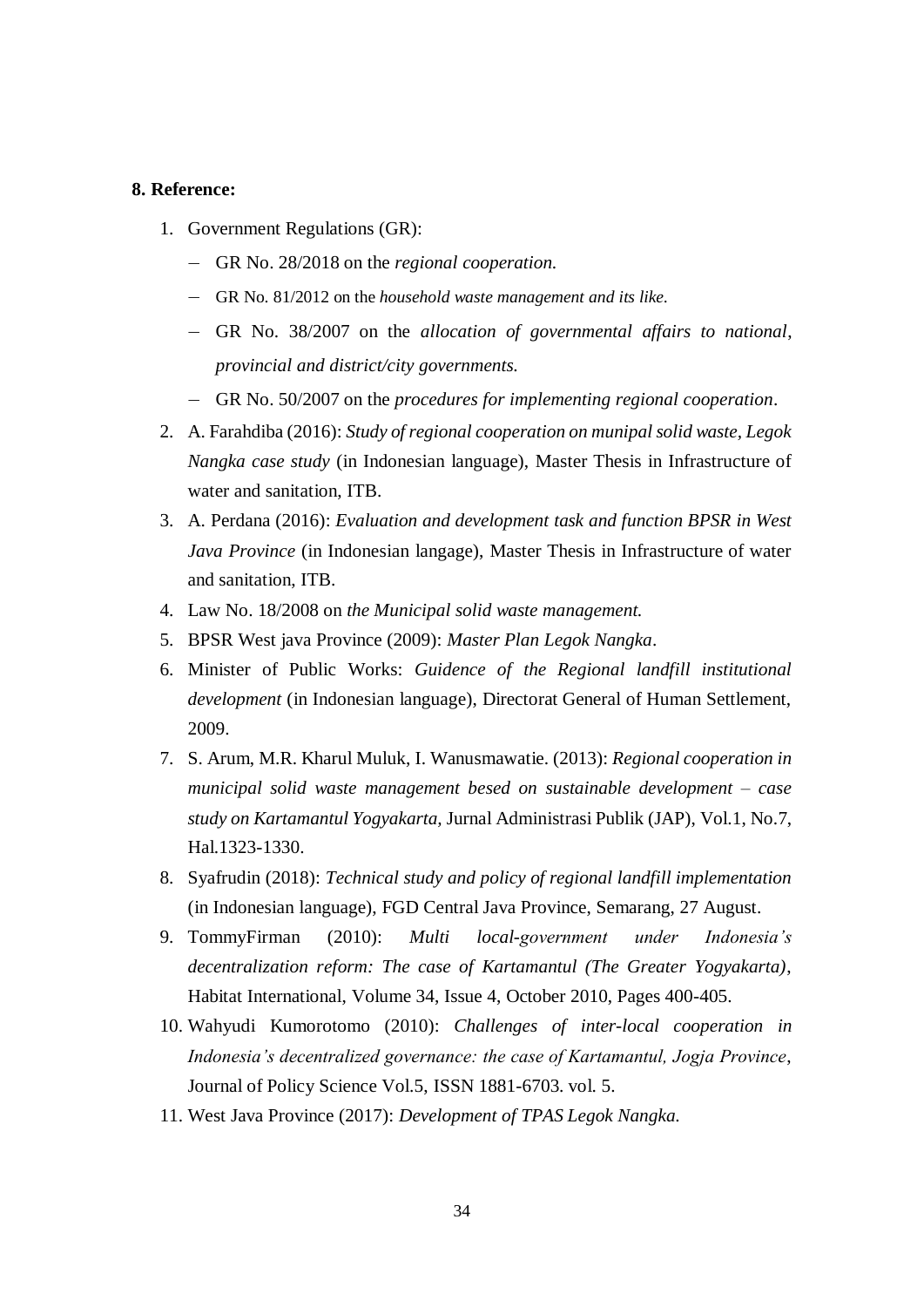#### **8. Reference:**

- 1. Government Regulations (GR):
	- GR No. 28/2018 on the *regional cooperation.*
	- GR No. 81/2012 on the *household waste management and its like.*
	- GR No. 38/2007 on the *allocation of governmental affairs to national*, *provincial and district/city governments.*
	- GR No. 50/2007 on the *procedures for implementing regional cooperation*.
- 2. A. Farahdiba (2016): *Study of regional cooperation on munipal solid waste, Legok Nangka case study* (in Indonesian language), Master Thesis in Infrastructure of water and sanitation, ITB.
- 3. A. Perdana (2016): *Evaluation and development task and function BPSR in West Java Province* (in Indonesian langage), Master Thesis in Infrastructure of water and sanitation, ITB.
- 4. Law No. 18/2008 on *the Municipal solid waste management.*
- 5. BPSR West java Province (2009): *Master Plan Legok Nangka*.
- 6. Minister of Public Works: *Guidence of the Regional landfill institutional development* (in Indonesian language), Directorat General of Human Settlement, 2009.
- 7. S. Arum, M.R. Kharul Muluk, I. Wanusmawatie. (2013): *Regional cooperation in municipal solid waste management besed on sustainable development* – *case study on Kartamantul Yogyakarta,* Jurnal Administrasi Publik (JAP), Vol.1, No.7, Hal.1323-1330.
- 8. Syafrudin (2018): *Technical study and policy of regional landfill implementation* (in Indonesian language), FGD Central Java Province, Semarang, 27 August.
- 9. [TommyFirman](https://www.sciencedirect.com/science/article/pii/S0197397509000939?via%3Dihub#!) (2010): *[Multi local-government under Indonesia's](https://www.sciencedirect.com/science/article/pii/S0197397509000939)  [decentralization reform: The case of Kartamantul \(The Greater Yogyakarta\)](https://www.sciencedirect.com/science/article/pii/S0197397509000939)*, [Habitat International,](https://www.sciencedirect.com/science/journal/01973975) [Volume 34, Issue 4,](https://www.sciencedirect.com/science/journal/01973975/34/4) October 2010, Pages 400-405.
- 10. Wahyudi Kumorotomo (2010): *Challenges of inter-local cooperation in Indonesia's decentralized governance: the case of Kartamantul, Jogja Province*, Journal of Policy Science Vol.5, ISSN 1881-6703. vol. 5.
- 11. West Java Province (2017): *Development of TPAS Legok Nangka.*